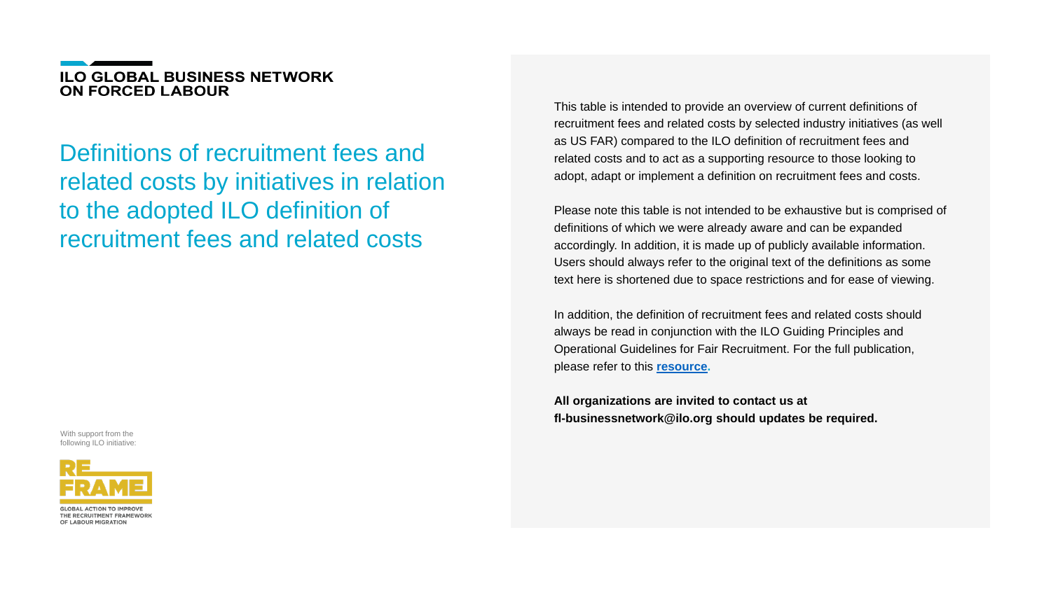## **ILO GLOBAL BUSINESS NETWORK ON FORCED LABOUR**

Definitions of recruitment fees and related costs by initiatives in relation to the adopted ILO definition of recruitment fees and related costs

This table is intended to provide an overview of current definitions of recruitment fees and related costs by selected industry initiatives (as well as US FAR) compared to the ILO definition of recruitment fees and related costs and to act as a supporting resource to those looking to adopt, adapt or implement a definition on recruitment fees and costs.

Please note this table is not intended to be exhaustive but is comprised of definitions of which we were already aware and can be expanded accordingly. In addition, it is made up of publicly available information. Users should always refer to the original text of the definitions as some text here is shortened due to space restrictions and for ease of viewing.

In addition, the definition of recruitment fees and related costs should always be read in conjunction with the ILO Guiding Principles and Operational Guidelines for Fair Recruitment. For the full publication, please refer to this **[resource.](https://www.ilo.org/wcmsp5/groups/public/---ed_protect/---protrav/---migrant/documents/publication/wcms_536755.pdf)**

**All organizations are invited to contact us at fl-businessnetwork@ilo.org should updates be required.**



With support from the following ILO initiative:



THE RECRUITMENT FRAMEWORK OF LABOUR MIGRATION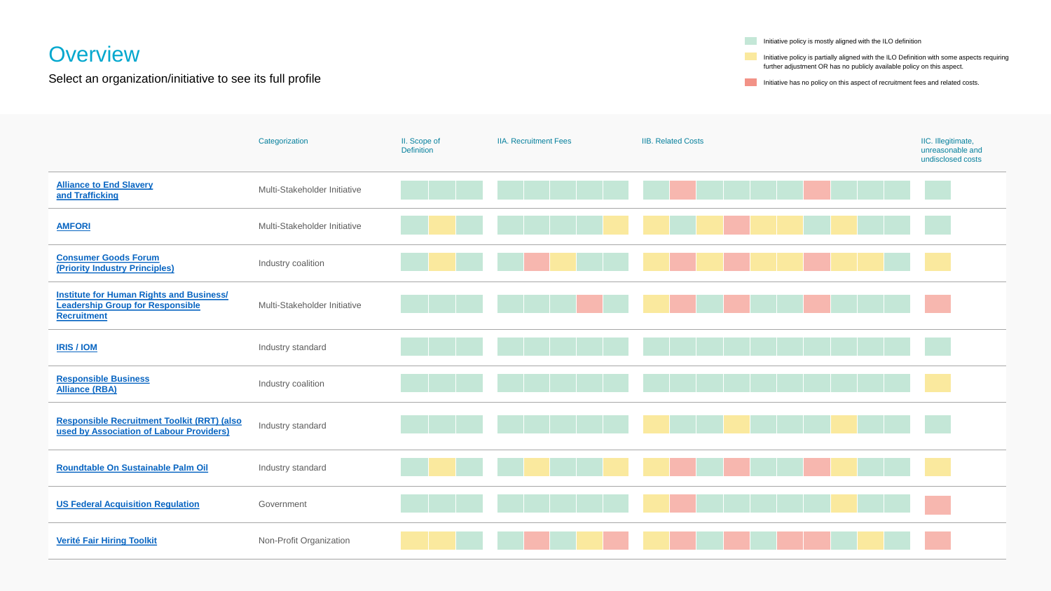# <span id="page-1-0"></span>**Overview**

Select an organization/initiative to see its full profile

|                                                                                                                  | Categorization                      | II. Scope of<br><b>Definition</b> |
|------------------------------------------------------------------------------------------------------------------|-------------------------------------|-----------------------------------|
| <b>Alliance to End Slavery</b><br>and Trafficking                                                                | <b>Multi-Stakeholder Initiative</b> |                                   |
| <b>AMFORI</b>                                                                                                    | <b>Multi-Stakeholder Initiative</b> |                                   |
| <b>Consumer Goods Forum</b><br>(Priority Industry Principles)                                                    | Industry coalition                  |                                   |
| <b>Institute for Human Rights and Business/</b><br><b>Leadership Group for Responsible</b><br><b>Recruitment</b> | <b>Multi-Stakeholder Initiative</b> |                                   |
| <b>IRIS/IOM</b>                                                                                                  | Industry standard                   |                                   |
| <b>Responsible Business</b><br><b>Alliance (RBA)</b>                                                             | Industry coalition                  |                                   |
| <b>Responsible Recruitment Toolkit (RRT) (also)</b><br>used by Association of Labour Providers)                  | Industry standard                   |                                   |
| <b>Roundtable On Sustainable Palm Oil</b>                                                                        | Industry standard                   |                                   |
| <b>US Federal Acquisition Regulation</b>                                                                         | Government                          |                                   |
| <b>Verité Fair Hiring Toolkit</b>                                                                                | <b>Non-Profit Organization</b>      |                                   |

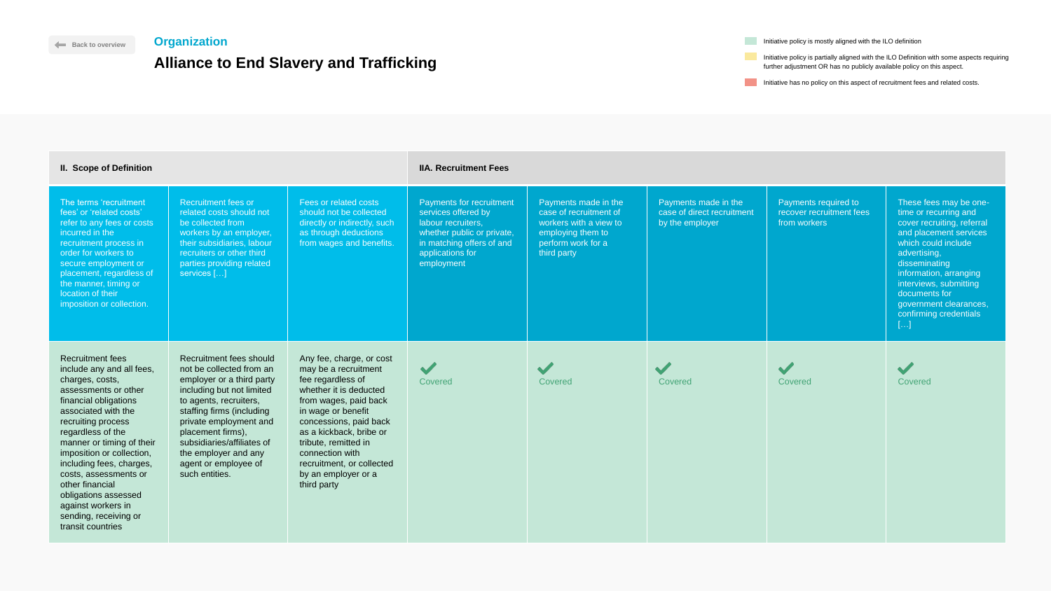## <span id="page-2-0"></span>**Organization**

# **Alliance to End Slavery and Trafficking**

Initiative policy is partially aligned with the ILO Definition with some aspects requiring further adjustment OR has no publicly available policy on this aspect.

Initiative has no policy on this aspect of recruitment fees and related costs.



| <b>II. Scope of Definition</b>                                                                                                                                                                                                                                                                                                                                                                                           |                                                                                                                                                                                                                                                                                                                     |                                                                                                                                                                                                                                                                                                                   | <b>IIA. Recruitment Fees</b>                                                                                                                                       |                                                                                                                                    |                                                                       |                                                                  |                                                                                                                                                                                                                                                                                                |
|--------------------------------------------------------------------------------------------------------------------------------------------------------------------------------------------------------------------------------------------------------------------------------------------------------------------------------------------------------------------------------------------------------------------------|---------------------------------------------------------------------------------------------------------------------------------------------------------------------------------------------------------------------------------------------------------------------------------------------------------------------|-------------------------------------------------------------------------------------------------------------------------------------------------------------------------------------------------------------------------------------------------------------------------------------------------------------------|--------------------------------------------------------------------------------------------------------------------------------------------------------------------|------------------------------------------------------------------------------------------------------------------------------------|-----------------------------------------------------------------------|------------------------------------------------------------------|------------------------------------------------------------------------------------------------------------------------------------------------------------------------------------------------------------------------------------------------------------------------------------------------|
| The terms 'recruitment<br>fees' or 'related costs'<br>refer to any fees or costs<br>incurred in the<br>recruitment process in<br>order for workers to<br>secure employment or<br>placement, regardless of<br>the manner, timing or<br>location of their<br>imposition or collection.                                                                                                                                     | <b>Recruitment fees or</b><br>related costs should not<br>be collected from<br>workers by an employer,<br>their subsidiaries, labour<br>recruiters or other third<br>parties providing related<br>services []                                                                                                       | Fees or related costs<br>should not be collected<br>directly or indirectly, such<br>as through deductions<br>from wages and benefits.                                                                                                                                                                             | Payments for recruitment<br>services offered by<br>labour recruiters,<br>whether public or private,<br>in matching offers of and<br>applications for<br>employment | Payments made in the<br>case of recruitment of<br>workers with a view to<br>employing them to<br>perform work for a<br>third party | Payments made in the<br>case of direct recruitment<br>by the employer | Payments required to<br>recover recruitment fees<br>from workers | These fees may be one-<br>time or recurring and<br>cover recruiting, referral<br>and placement services<br>which could include<br>advertising,<br>disseminating<br>information, arranging<br>interviews, submitting<br>documents for<br>government clearances,<br>confirming credentials<br>[] |
| <b>Recruitment fees</b><br>include any and all fees,<br>charges, costs,<br>assessments or other<br>financial obligations<br>associated with the<br>recruiting process<br>regardless of the<br>manner or timing of their<br>imposition or collection,<br>including fees, charges,<br>costs, assessments or<br>other financial<br>obligations assessed<br>against workers in<br>sending, receiving or<br>transit countries | Recruitment fees should<br>not be collected from an<br>employer or a third party<br>including but not limited<br>to agents, recruiters,<br>staffing firms (including<br>private employment and<br>placement firms),<br>subsidiaries/affiliates of<br>the employer and any<br>agent or employee of<br>such entities. | Any fee, charge, or cost<br>may be a recruitment<br>fee regardless of<br>whether it is deducted<br>from wages, paid back<br>in wage or benefit<br>concessions, paid back<br>as a kickback, bribe or<br>tribute, remitted in<br>connection with<br>recruitment, or collected<br>by an employer or a<br>third party | <b>STEP</b><br>Covered                                                                                                                                             | Covered                                                                                                                            | Covered                                                               | Covered                                                          | $\blacktriangledown$<br><b>Covered</b>                                                                                                                                                                                                                                                         |

**Initiative policy is mostly aligned with the ILO definition**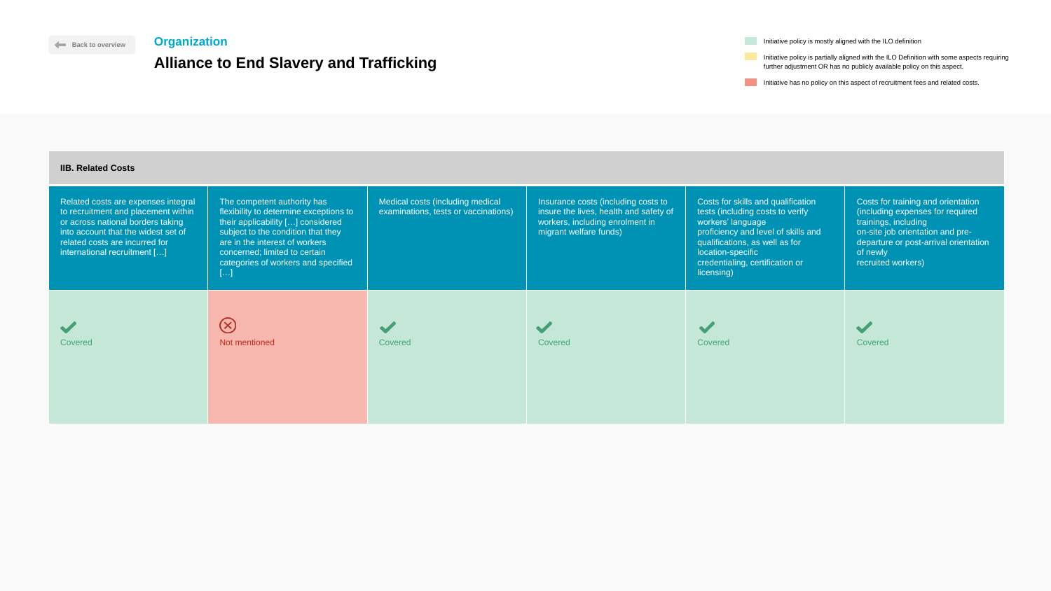Initiative has no policy on this aspect of recruitment fees and related costs.

 $\blacktriangledown$ 

**Initiative policy is mostly aligned with the ILO definition** 

### **IIB. Related Costs**

| <b>IIB. Related Costs</b>                                                                                                                                                                                                |                                                                                                                                                                                                                                                                  |                                                                          |                                                                                                                                            |                                                                                                                                                                                                                                            |                                                                                                                                                                                                               |
|--------------------------------------------------------------------------------------------------------------------------------------------------------------------------------------------------------------------------|------------------------------------------------------------------------------------------------------------------------------------------------------------------------------------------------------------------------------------------------------------------|--------------------------------------------------------------------------|--------------------------------------------------------------------------------------------------------------------------------------------|--------------------------------------------------------------------------------------------------------------------------------------------------------------------------------------------------------------------------------------------|---------------------------------------------------------------------------------------------------------------------------------------------------------------------------------------------------------------|
| Related costs are expenses integral<br>to recruitment and placement within<br>or across national borders taking<br>into account that the widest set of<br>related costs are incurred for<br>international recruitment [] | The competent authority has<br>flexibility to determine exceptions to<br>their applicability [] considered<br>subject to the condition that they<br>are in the interest of workers<br>concerned; limited to certain<br>categories of workers and specified<br>[] | Medical costs (including medical<br>examinations, tests or vaccinations) | Insurance costs (including costs to<br>insure the lives, health and safety of<br>workers, including enrolment in<br>migrant welfare funds) | Costs for skills and qualification<br>tests (including costs to verify<br>workers' language<br>proficiency and level of skills and<br>qualifications, as well as for<br>location-specific<br>credentialing, certification or<br>licensing) | Costs for training and orientation<br>(including expenses for required<br>trainings, including<br>on-site job orientation and pre-<br>departure or post-arrival orientation<br>of newly<br>recruited workers) |
| <b>Covered</b>                                                                                                                                                                                                           | $(\times)$<br>Not mentioned                                                                                                                                                                                                                                      | Covered                                                                  | Covered                                                                                                                                    | Covered                                                                                                                                                                                                                                    | Covered                                                                                                                                                                                                       |



**[Back to overview](#page-1-0)** 

### **Organization**

## **Alliance to End Slavery and Trafficking**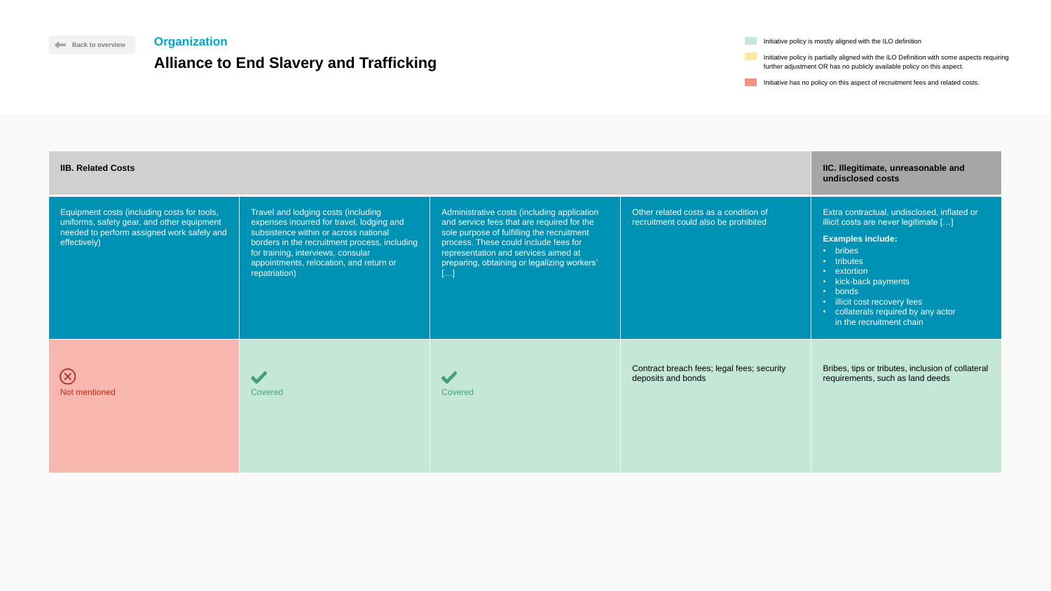Initiative policy is mostly aligned with the ILO definition

Initiative policy is partially aligned with the ILO Definition with some aspects requiring further adjustment OR has no publicly available policy on this aspect.

Initiative has no policy on this aspect of recruitment fees and related costs.

| <b>IIB. Related Costs</b>                                                                                                                               |                                                                                                                                                                                                                                                                              |                                                                                                                                                                                                                                                                                       |                                                                               | IIC. Illegitimate, unreasonable and<br>undisclosed costs                                                                                                                                                                                                                                        |
|---------------------------------------------------------------------------------------------------------------------------------------------------------|------------------------------------------------------------------------------------------------------------------------------------------------------------------------------------------------------------------------------------------------------------------------------|---------------------------------------------------------------------------------------------------------------------------------------------------------------------------------------------------------------------------------------------------------------------------------------|-------------------------------------------------------------------------------|-------------------------------------------------------------------------------------------------------------------------------------------------------------------------------------------------------------------------------------------------------------------------------------------------|
| Equipment costs (including costs for tools,<br>uniforms, safety gear, and other equipment<br>needed to perform assigned work safely and<br>effectively) | Travel and lodging costs (including<br>expenses incurred for travel, lodging and<br>subsistence within or across national<br>borders in the recruitment process, including<br>for training, interviews, consular<br>appointments, relocation, and return or<br>repatriation) | Administrative costs (including application<br>and service fees that are required for the<br>sole purpose of fulfilling the recruitment<br>process. These could include fees for<br>representation and services aimed at<br>preparing, obtaining or legalizing workers'<br>$[\ldots]$ | Other related costs as a condition of<br>recruitment could also be prohibited | Extra contractual, undisclosed, inflated or<br>illicit costs are never legitimate []<br><b>Examples include:</b><br>• bribes<br>• tributes<br>• extortion<br>· kick-back payments<br>• bonds<br>· illicit cost recovery fees<br>· collaterals required by any actor<br>in the recruitment chain |
| $\bigotimes$<br>Not mentioned                                                                                                                           | Covered                                                                                                                                                                                                                                                                      | Covered                                                                                                                                                                                                                                                                               | Contract breach fees; legal fees; security<br>deposits and bonds              | Bribes, tips or tributes, inclusion of collateral<br>requirements, such as land deeds                                                                                                                                                                                                           |



### Travel and lodging costs (including Equipment costs (including costs for tools, Administrative expenses incurred for travel, lodging and uniforms, safety gear, and other equipment and service for needed to perform assigned work safely and subsistence within or across national sole purpose effectively) borders in the recruitment process, including process. These for training, interviews, consular representation appointments, relocation, and return or preparing, ob repatriation) […]  $\circledR$  $\blacktriangledown$  $\blacktriangledown$ Not mentioned Covered Covered

**[Back to overview](#page-1-0)** 

### **Organization**

## **Alliance to End Slavery and Trafficking**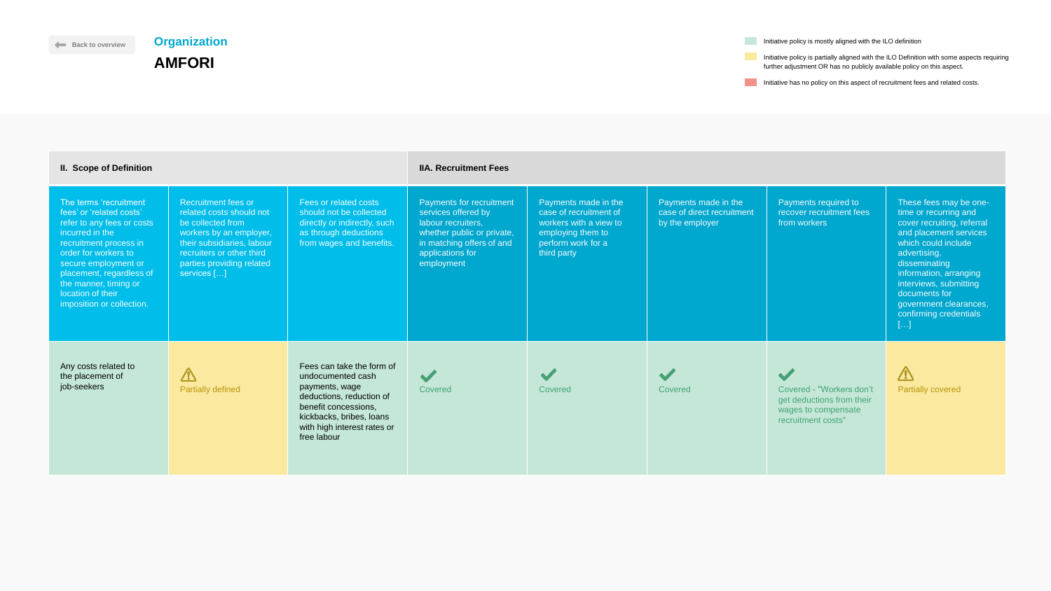Initiative has no policy on this aspect of recruitment fees and related costs.



| <b>II. Scope of Definition</b>                                                                                                                                                                                                                                                       |                                                                                                                                                                                                               |                                                                                                                                                                                                | <b>IIA. Recruitment Fees</b>                                                                                                                                              |                                                                                                                                    |                                                                       |                                                                                                    |                                                                                                                                                                                                                                                                                                                   |
|--------------------------------------------------------------------------------------------------------------------------------------------------------------------------------------------------------------------------------------------------------------------------------------|---------------------------------------------------------------------------------------------------------------------------------------------------------------------------------------------------------------|------------------------------------------------------------------------------------------------------------------------------------------------------------------------------------------------|---------------------------------------------------------------------------------------------------------------------------------------------------------------------------|------------------------------------------------------------------------------------------------------------------------------------|-----------------------------------------------------------------------|----------------------------------------------------------------------------------------------------|-------------------------------------------------------------------------------------------------------------------------------------------------------------------------------------------------------------------------------------------------------------------------------------------------------------------|
| The terms 'recruitment<br>fees' or 'related costs'<br>refer to any fees or costs<br>incurred in the<br>recruitment process in<br>order for workers to<br>secure employment or<br>placement, regardless of<br>the manner, timing or<br>location of their<br>imposition or collection. | <b>Recruitment fees or</b><br>related costs should not<br>be collected from<br>workers by an employer,<br>their subsidiaries, labour<br>recruiters or other third<br>parties providing related<br>services [] | Fees or related costs<br>should not be collected<br>directly or indirectly, such<br>as through deductions<br>from wages and benefits.                                                          | <b>Payments for recruitment</b><br>services offered by<br>labour recruiters,<br>whether public or private,<br>in matching offers of and<br>applications for<br>employment | Payments made in the<br>case of recruitment of<br>workers with a view to<br>employing them to<br>perform work for a<br>third party | Payments made in the<br>case of direct recruitment<br>by the employer | Payments required to<br>recover recruitment fees<br>from workers                                   | These fees may be one-<br>time or recurring and<br>cover recruiting, referral<br>and placement services<br>which could include<br>advertising,<br>disseminating<br>information, arranging<br>interviews, submitting<br>documents for<br>government clearances,<br>confirming credentials<br>$\left[\ldots\right]$ |
| Any costs related to<br>the placement of<br>job-seekers                                                                                                                                                                                                                              | $\sqrt{N}$<br><b>Partially defined</b>                                                                                                                                                                        | Fees can take the form of<br>undocumented cash<br>payments, wage<br>deductions, reduction of<br>benefit concessions,<br>kickbacks, bribes, loans<br>with high interest rates or<br>free labour | $\sim$<br>Covered                                                                                                                                                         | Covered                                                                                                                            | Covered                                                               | Covered - "Workers don't<br>get deductions from their<br>wages to compensate<br>recruitment costs" | $\sqrt{2}$<br><b>Partially covered</b>                                                                                                                                                                                                                                                                            |

**Initiative policy is mostly aligned with the ILO definition** 

# <span id="page-5-0"></span>**Organization AMFORI**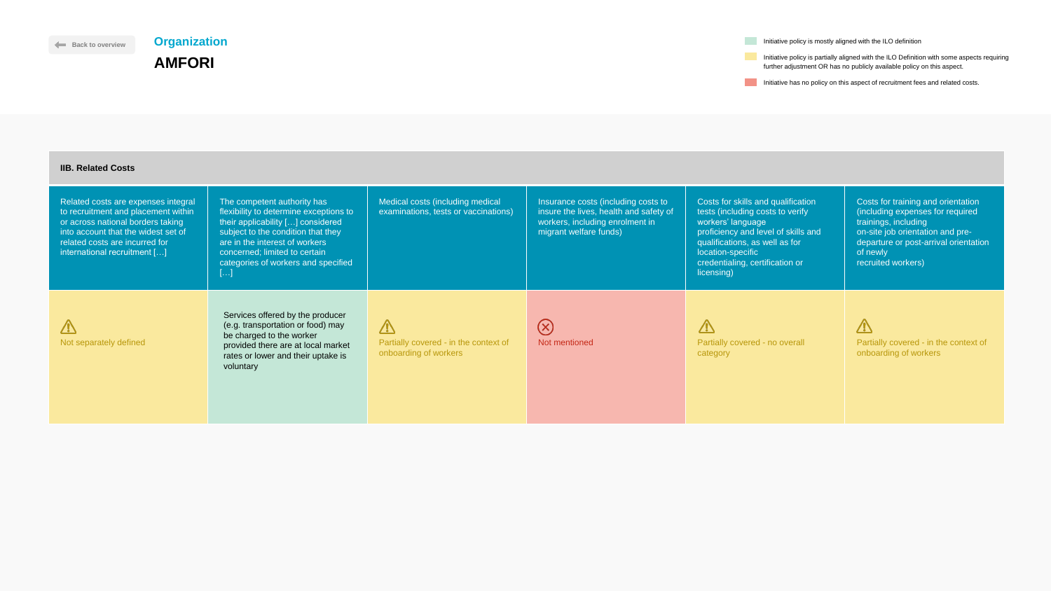Initiative has no policy on this aspect of recruitment fees and related costs.

The competent authority has flexibility to determine exceptions to their applicability […] considered subject to the condition that they are in the interest of workers concerned; limited to certain categories of workers and specified  $[...]$ 

Medical costs (including medically examinations, tests or vaccinations

### **IIB. Related Costs**

Related costs are expenses integral to recruitment and placement within or across national borders taking into account that the widest set of related costs are incurred for international recruitment […]

 $\Delta$ Not separately defined

 $\Delta$ Partially covered - in the context onboarding of workers

**Initiative policy is mostly aligned with the ILO definition** 

| ons)            | Insurance costs (including costs to<br>insure the lives, health and safety of<br>workers, including enrolment in<br>migrant welfare funds) | Costs for skills and qualification<br>tests (including costs to verify<br>workers' language<br>proficiency and level of skills and<br>qualifications, as well as for<br>location-specific<br>credentialing, certification or | Costs for training and orientation<br>(including expenses for required<br>trainings, including<br>on-site job orientation and pre-<br>departure or post-arrival orientation<br>of newly<br>recruited workers) |
|-----------------|--------------------------------------------------------------------------------------------------------------------------------------------|------------------------------------------------------------------------------------------------------------------------------------------------------------------------------------------------------------------------------|---------------------------------------------------------------------------------------------------------------------------------------------------------------------------------------------------------------|
| $\mathsf{t}$ of | Not mentioned                                                                                                                              | licensing)<br>Partially covered - no overall<br>category                                                                                                                                                                     | Partially covered - in the context of<br>onboarding of workers                                                                                                                                                |



Services offered by the producer (e.g. transportation or food) may be charged to the worker provided there are at local market rates or lower and their uptake is voluntary

# **Organization AMFORI**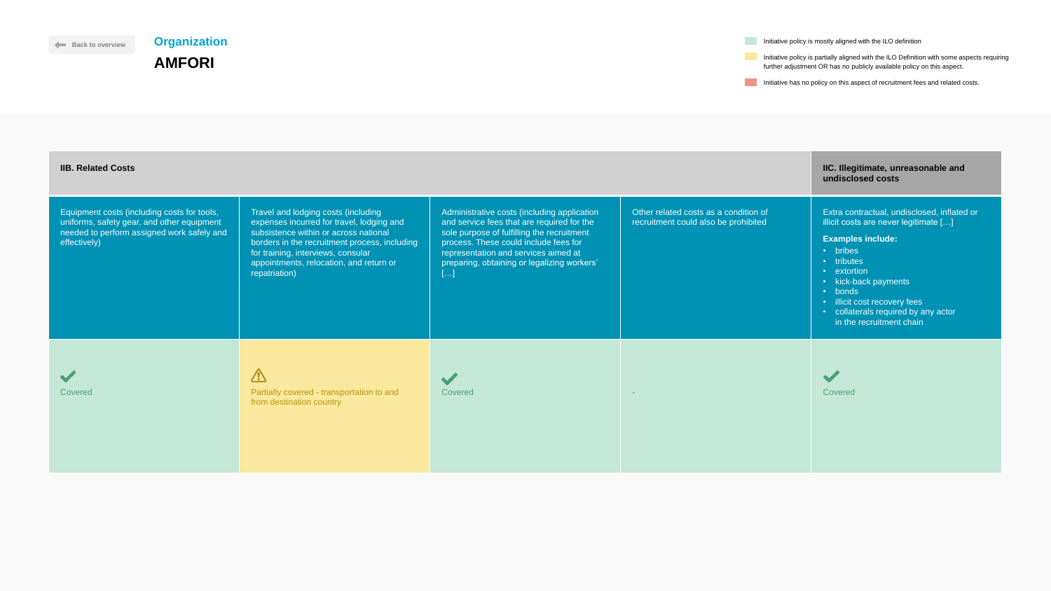Initiative has no policy on this aspect of recruitment fees and related costs.

 $\blacktriangledown$ 

**Initiative policy is mostly aligned with the ILO definition** 

| <b>IIB. Related Costs</b>                                                                                                                               |                                                                                                                                                                                                                                                                              |                                                                                                                                                                                                                                                                               |                                                                               | IIC. Illegitimate, unreasonable and<br>undisclosed costs                                                                                                                                                                                                                                        |
|---------------------------------------------------------------------------------------------------------------------------------------------------------|------------------------------------------------------------------------------------------------------------------------------------------------------------------------------------------------------------------------------------------------------------------------------|-------------------------------------------------------------------------------------------------------------------------------------------------------------------------------------------------------------------------------------------------------------------------------|-------------------------------------------------------------------------------|-------------------------------------------------------------------------------------------------------------------------------------------------------------------------------------------------------------------------------------------------------------------------------------------------|
| Equipment costs (including costs for tools,<br>uniforms, safety gear, and other equipment<br>needed to perform assigned work safely and<br>effectively) | Travel and lodging costs (including<br>expenses incurred for travel, lodging and<br>subsistence within or across national<br>borders in the recruitment process, including<br>for training, interviews, consular<br>appointments, relocation, and return or<br>repatriation) | Administrative costs (including application<br>and service fees that are required for the<br>sole purpose of fulfilling the recruitment<br>process. These could include fees for<br>representation and services aimed at<br>preparing, obtaining or legalizing workers'<br>[] | Other related costs as a condition of<br>recruitment could also be prohibited | Extra contractual, undisclosed, inflated or<br>illicit costs are never legitimate []<br><b>Examples include:</b><br>• bribes<br>• tributes<br>• extortion<br>• kick-back payments<br>• bonds<br>· illicit cost recovery fees<br>• collaterals required by any actor<br>in the recruitment chain |
| <b>Covered</b>                                                                                                                                          | $\sqrt{1}$<br>Partially covered - transportation to and<br>from destination country                                                                                                                                                                                          | Covered                                                                                                                                                                                                                                                                       | <b>Section</b>                                                                | Covered                                                                                                                                                                                                                                                                                         |



**[Back to overview](#page-1-0)** 

# **Organization AMFORI**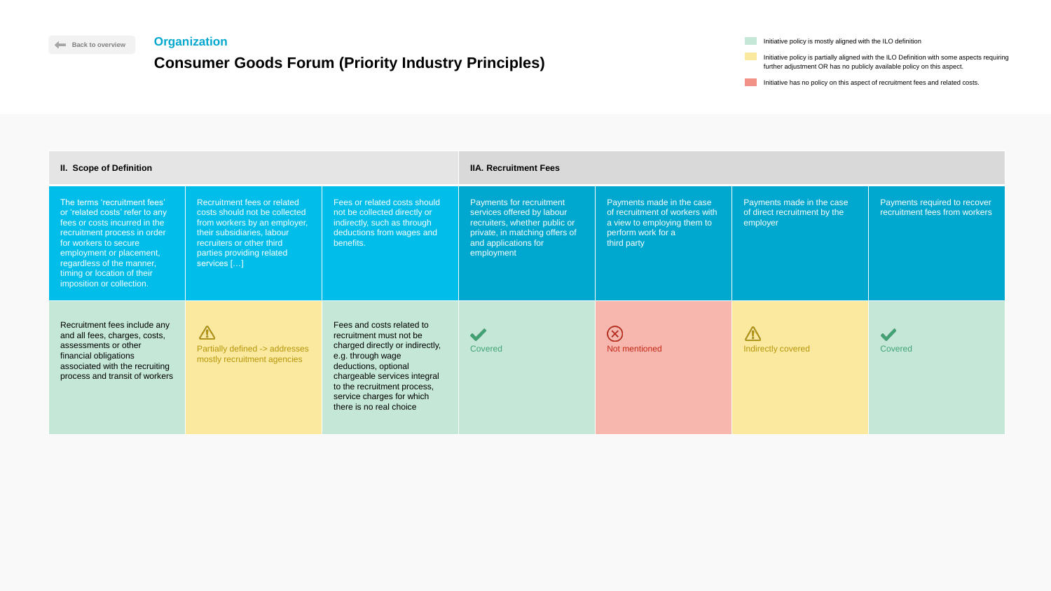|         | Initiative policy is mostly aligned with the ILO definition                                                                                                          |
|---------|----------------------------------------------------------------------------------------------------------------------------------------------------------------------|
| ciples) | Initiative policy is partially aligned with the ILO Definition with some aspects requiring<br>further adjustment OR has no publicly available policy on this aspect. |
|         | Initiative has no policy on this aspect of recruitment fees and related costs.                                                                                       |



| The terms 'recruitment fees'<br>Fees or related costs should<br><b>Payments for recruitment</b><br>Payments made in the case<br><b>Recruitment fees or related</b><br>Payments made in the case<br>of recruitment of workers with<br>services offered by labour<br>of direct recruitment by the<br>or 'related costs' refer to any<br>costs should not be collected<br>not be collected directly or<br>recruiters, whether public or<br>fees or costs incurred in the<br>indirectly, such as through<br>from workers by an employer,<br>a view to employing them to<br>employer<br>their subsidiaries, labour<br>deductions from wages and<br>private, in matching offers of<br>perform work for a<br>recruitment process in order<br>benefits.<br>and applications for<br>for workers to secure<br>recruiters or other third<br>third party<br>employment or placement,<br>parties providing related<br>employment<br>regardless of the manner,<br>services []<br>timing or location of their<br>imposition or collection.<br>Recruitment fees include any<br>Fees and costs related to<br>$\Delta$<br>$\bigcirc$<br>$\sqrt{2}$<br>$\blacktriangleright$<br>and all fees, charges, costs,<br>recruitment must not be<br>$\bullet$<br>assessments or other<br>charged directly or indirectly,<br>Partially defined -> addresses<br>Covered<br>Not mentioned<br>Indirectly covered<br>Covered<br>financial obligations<br>e.g. through wage<br>mostly recruitment agencies<br>associated with the recruiting<br>deductions, optional<br>process and transit of workers<br>chargeable services integral | <b>II. Scope of Definition</b> |                             | <b>IIA. Recruitment Fees</b> |  |                                                               |
|-------------------------------------------------------------------------------------------------------------------------------------------------------------------------------------------------------------------------------------------------------------------------------------------------------------------------------------------------------------------------------------------------------------------------------------------------------------------------------------------------------------------------------------------------------------------------------------------------------------------------------------------------------------------------------------------------------------------------------------------------------------------------------------------------------------------------------------------------------------------------------------------------------------------------------------------------------------------------------------------------------------------------------------------------------------------------------------------------------------------------------------------------------------------------------------------------------------------------------------------------------------------------------------------------------------------------------------------------------------------------------------------------------------------------------------------------------------------------------------------------------------------------------------------------------------------------------------------------------|--------------------------------|-----------------------------|------------------------------|--|---------------------------------------------------------------|
|                                                                                                                                                                                                                                                                                                                                                                                                                                                                                                                                                                                                                                                                                                                                                                                                                                                                                                                                                                                                                                                                                                                                                                                                                                                                                                                                                                                                                                                                                                                                                                                                       |                                |                             |                              |  | Payments required to recover<br>recruitment fees from workers |
| service charges for which<br>there is no real choice                                                                                                                                                                                                                                                                                                                                                                                                                                                                                                                                                                                                                                                                                                                                                                                                                                                                                                                                                                                                                                                                                                                                                                                                                                                                                                                                                                                                                                                                                                                                                  |                                | to the recruitment process, |                              |  |                                                               |

## <span id="page-8-0"></span>**Organization**

# **Consumer Goods Forum (Priority Industry Princity**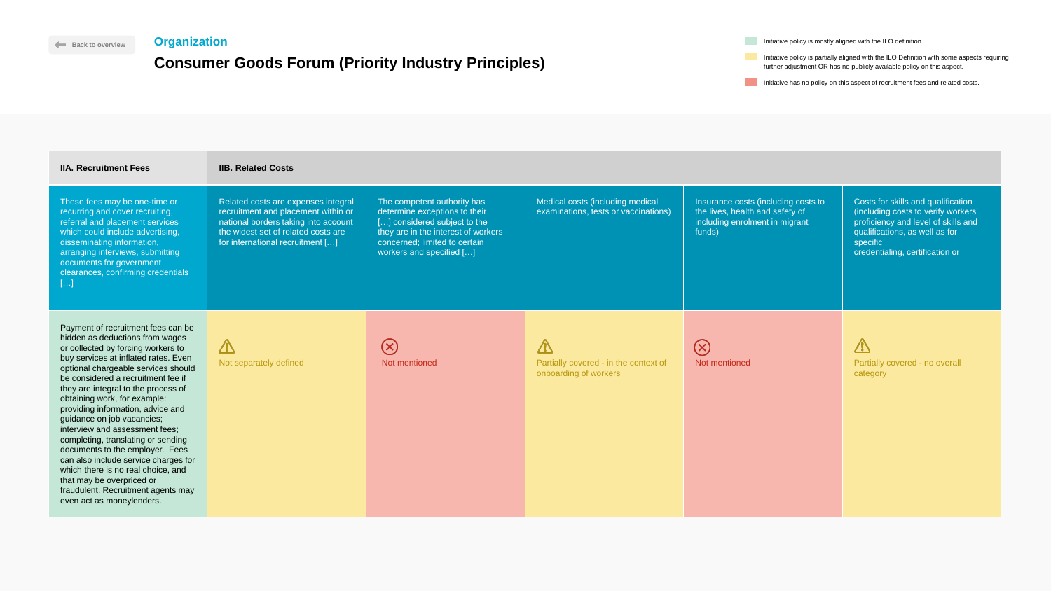| Back to overview                                                                                                                                                                                                                                                                                                                                                                                                                                                                                                                                                                                                                                                    | <b>Organization</b>                                                                                                                                                                           |                                                                                                                                                                                                  |                                                                              |                                                                                                                    | Initiative policy is mostly aligned with the ILO definition                                                                                                                                                                                            |
|---------------------------------------------------------------------------------------------------------------------------------------------------------------------------------------------------------------------------------------------------------------------------------------------------------------------------------------------------------------------------------------------------------------------------------------------------------------------------------------------------------------------------------------------------------------------------------------------------------------------------------------------------------------------|-----------------------------------------------------------------------------------------------------------------------------------------------------------------------------------------------|--------------------------------------------------------------------------------------------------------------------------------------------------------------------------------------------------|------------------------------------------------------------------------------|--------------------------------------------------------------------------------------------------------------------|--------------------------------------------------------------------------------------------------------------------------------------------------------------------------------------------------------------------------------------------------------|
| <b>Consumer Goods Forum (Priority Industry Principles)</b>                                                                                                                                                                                                                                                                                                                                                                                                                                                                                                                                                                                                          |                                                                                                                                                                                               |                                                                                                                                                                                                  |                                                                              |                                                                                                                    | Initiative policy is partially aligned with the ILO Definition with some aspects requiring<br>further adjustment OR has no publicly available policy on this aspect.<br>Initiative has no policy on this aspect of recruitment fees and related costs. |
| <b>IIA. Recruitment Fees</b>                                                                                                                                                                                                                                                                                                                                                                                                                                                                                                                                                                                                                                        | <b>IIB. Related Costs</b>                                                                                                                                                                     |                                                                                                                                                                                                  |                                                                              |                                                                                                                    |                                                                                                                                                                                                                                                        |
| These fees may be one-time or<br>recurring and cover recruiting,<br>referral and placement services<br>which could include advertising,<br>disseminating information,<br>arranging interviews, submitting<br>documents for government<br>clearances, confirming credentials<br>المعادي                                                                                                                                                                                                                                                                                                                                                                              | Related costs are expenses integral<br>recruitment and placement within or<br>national borders taking into account<br>the widest set of related costs are<br>for international recruitment [] | The competent authority has<br>determine exceptions to their<br>[] considered subject to the<br>they are in the interest of workers<br>concerned; limited to certain<br>workers and specified [] | Medical costs (including medical<br>examinations, tests or vaccinations)     | Insurance costs (including costs to<br>the lives, health and safety of<br>including enrolment in migrant<br>funds) | Costs for skills and qualification<br>(including costs to verify workers'<br>proficiency and level of skills and<br>qualifications, as well as for<br>specific<br>credentialing, certification or                                                      |
| Payment of recruitment fees can be<br>hidden as deductions from wages<br>or collected by forcing workers to<br>buy services at inflated rates. Even<br>optional chargeable services should<br>be considered a recruitment fee if<br>they are integral to the process of<br>obtaining work, for example:<br>providing information, advice and<br>guidance on job vacancies;<br>interview and assessment fees;<br>completing, translating or sending<br>documents to the employer. Fees<br>can also include service charges for<br>which there is no real choice, and<br>that may be overpriced or<br>fraudulent. Recruitment agents may<br>even act as moneylenders. | $\sqrt{N}$<br>Not separately defined                                                                                                                                                          | $(\times)$<br>Not mentioned                                                                                                                                                                      | $\sqrt{2}$<br>Partially covered - in the context of<br>onboarding of workers | $\left(\times\right)$<br>Not mentioned                                                                             | $\sqrt{1}$<br>Partially covered - no overall<br>category                                                                                                                                                                                               |

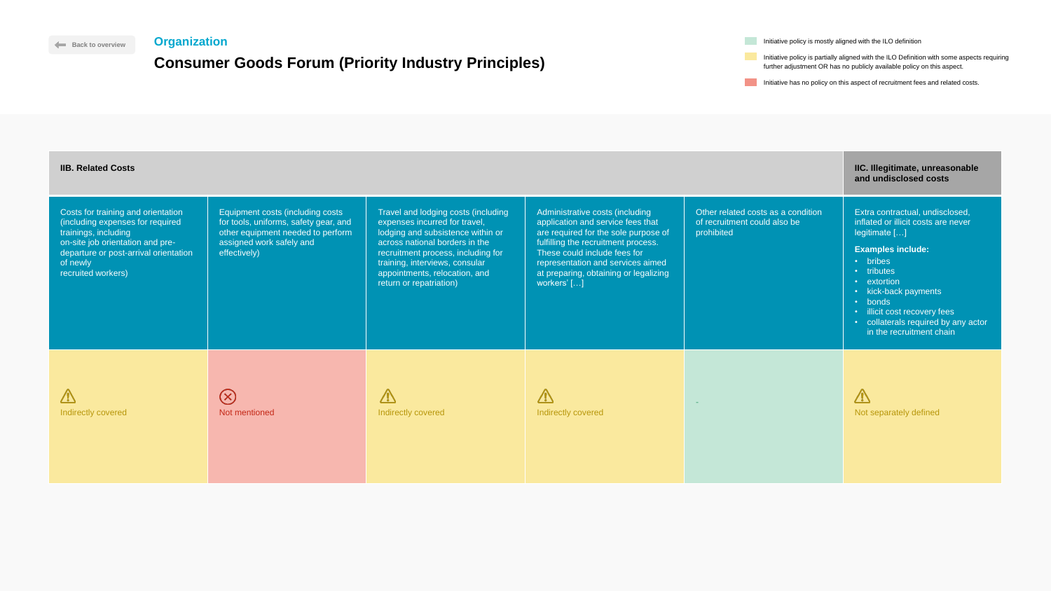| <b>ciples)</b> | Initiative policy is partially aligned with the ILO Definition with some aspects requiring<br>further adjustment OR has no publicly available policy on this aspect. |
|----------------|----------------------------------------------------------------------------------------------------------------------------------------------------------------------|
|                | Initiative has no policy on this aspect of recruitment fees and related costs.                                                                                       |

**Initiative policy is mostly aligned with the ILO definition** 

| <b>IIB. Related Costs</b>                                                                                                                                                                                     |                                                                                                                                                            |                                                                                                                                                                                                                                                                                 |                                                                                                                                                                                                                                                                                  |                                                                                  | IIC. Illegitimate, unreasonable<br>and undisclosed costs                                                                                                                                                                                                                                           |
|---------------------------------------------------------------------------------------------------------------------------------------------------------------------------------------------------------------|------------------------------------------------------------------------------------------------------------------------------------------------------------|---------------------------------------------------------------------------------------------------------------------------------------------------------------------------------------------------------------------------------------------------------------------------------|----------------------------------------------------------------------------------------------------------------------------------------------------------------------------------------------------------------------------------------------------------------------------------|----------------------------------------------------------------------------------|----------------------------------------------------------------------------------------------------------------------------------------------------------------------------------------------------------------------------------------------------------------------------------------------------|
| Costs for training and orientation<br>(including expenses for required<br>trainings, including<br>on-site job orientation and pre-<br>departure or post-arrival orientation<br>of newly<br>recruited workers) | Equipment costs (including costs<br>for tools, uniforms, safety gear, and<br>other equipment needed to perform<br>assigned work safely and<br>effectively) | Travel and lodging costs (including<br>expenses incurred for travel,<br>lodging and subsistence within or<br>across national borders in the<br>recruitment process, including for<br>training, interviews, consular<br>appointments, relocation, and<br>return or repatriation) | Administrative costs (including<br>application and service fees that<br>are required for the sole purpose of<br>fulfilling the recruitment process.<br>These could include fees for<br>representation and services aimed<br>at preparing, obtaining or legalizing<br>workers' [] | Other related costs as a condition<br>of recruitment could also be<br>prohibited | Extra contractual, undisclosed,<br>inflated or illicit costs are never<br>legitimate []<br><b>Examples include:</b><br>• bribes<br>• tributes<br>• extortion<br>• kick-back payments<br>• bonds<br>· illicit cost recovery fees<br>• collaterals required by any actor<br>in the recruitment chain |
| $\bigwedge$<br>Indirectly covered                                                                                                                                                                             | $(\times)$<br>Not mentioned                                                                                                                                | $\sqrt{1}$<br>Indirectly covered                                                                                                                                                                                                                                                | <b>/!</b><br>Indirectly covered                                                                                                                                                                                                                                                  |                                                                                  | $\sqrt{V}$<br>Not separately defined                                                                                                                                                                                                                                                               |





### **Organization**

## **Consumer Goods Forum (Priority Industry Princ**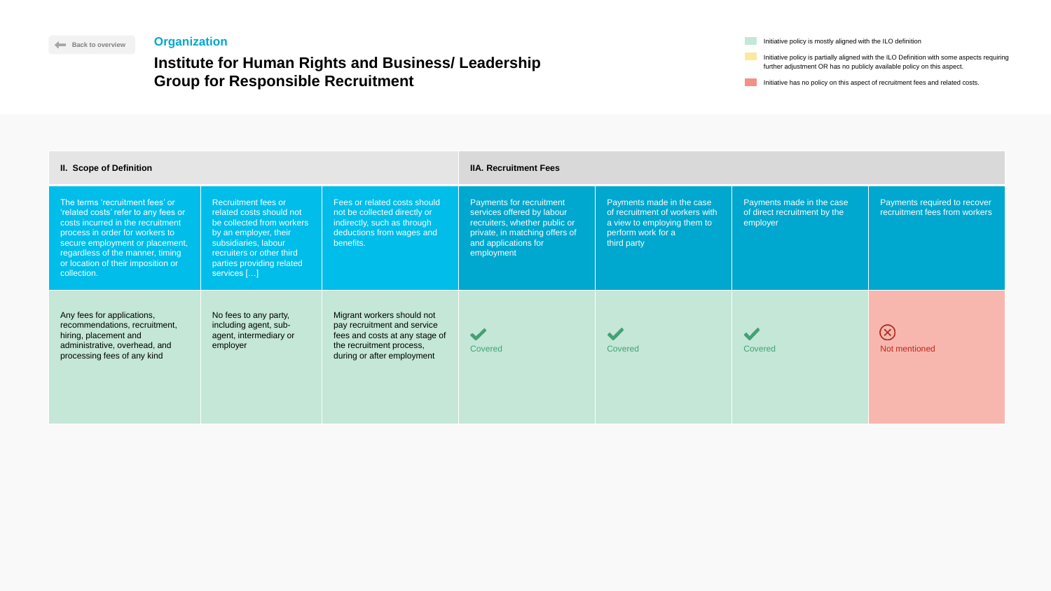|       | Initiative policy is mostly aligned with the ILO definition                                                                                                          |
|-------|----------------------------------------------------------------------------------------------------------------------------------------------------------------------|
| rship | Initiative policy is partially aligned with the ILO Definition with some aspects requiring<br>further adjustment OR has no publicly available policy on this aspect. |
|       | Initiative has no policy on this aspect of recruitment fees and related costs.                                                                                       |



# **Institute for Human Rights and Business/ Leader Group for Responsible Recruitment**

| <b>II. Scope of Definition</b>                                                                                                                                                                                                                                              |                                                                                                                                                                                                               |                                                                                                                                                       | <b>IIA. Recruitment Fees</b>                                                                                                                                    |                                                                                                                                 |                                                                       |                                                               |
|-----------------------------------------------------------------------------------------------------------------------------------------------------------------------------------------------------------------------------------------------------------------------------|---------------------------------------------------------------------------------------------------------------------------------------------------------------------------------------------------------------|-------------------------------------------------------------------------------------------------------------------------------------------------------|-----------------------------------------------------------------------------------------------------------------------------------------------------------------|---------------------------------------------------------------------------------------------------------------------------------|-----------------------------------------------------------------------|---------------------------------------------------------------|
| The terms 'recruitment fees' or<br>'related costs' refer to any fees or<br>costs incurred in the recruitment<br>process in order for workers to<br>secure employment or placement,<br>regardless of the manner, timing<br>or location of their imposition or<br>collection. | <b>Recruitment fees or</b><br>related costs should not<br>be collected from workers<br>by an employer, their<br>subsidiaries, labour<br>recruiters or other third<br>parties providing related<br>services [] | Fees or related costs should<br>not be collected directly or<br>indirectly, such as through<br>deductions from wages and<br>benefits.                 | Payments for recruitment<br>services offered by labour<br>recruiters, whether public or<br>private, in matching offers of<br>and applications for<br>employment | Payments made in the case<br>of recruitment of workers with<br>a view to employing them to<br>perform work for a<br>third party | Payments made in the case<br>of direct recruitment by the<br>employer | Payments required to recover<br>recruitment fees from workers |
| Any fees for applications,<br>recommendations, recruitment,<br>hiring, placement and<br>administrative, overhead, and<br>processing fees of any kind                                                                                                                        | No fees to any party,<br>including agent, sub-<br>agent, intermediary or<br>employer                                                                                                                          | Migrant workers should not<br>pay recruitment and service<br>fees and costs at any stage of<br>the recruitment process,<br>during or after employment | $\sqrt{}$<br>Covered                                                                                                                                            | Covered                                                                                                                         | Covered                                                               | $(\times)$<br>Not mentioned                                   |

## <span id="page-11-0"></span>**Organization**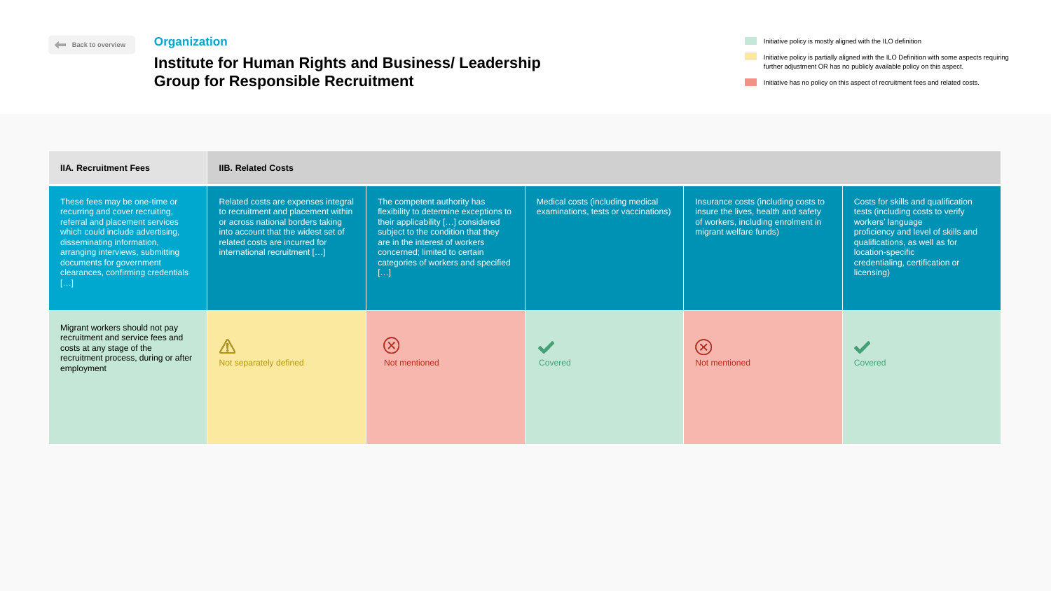| <b>Organization</b><br>Back to overview                                                                                                                                                                                                                                            |                                                                                                                                                                                                                          |                                                                                                                                                                                                                                                                          | Initiative policy is mostly aligned with the ILO definition              |                                                                                                                                                                                                                                                        |                                                                                                                                                                                                                                            |  |
|------------------------------------------------------------------------------------------------------------------------------------------------------------------------------------------------------------------------------------------------------------------------------------|--------------------------------------------------------------------------------------------------------------------------------------------------------------------------------------------------------------------------|--------------------------------------------------------------------------------------------------------------------------------------------------------------------------------------------------------------------------------------------------------------------------|--------------------------------------------------------------------------|--------------------------------------------------------------------------------------------------------------------------------------------------------------------------------------------------------------------------------------------------------|--------------------------------------------------------------------------------------------------------------------------------------------------------------------------------------------------------------------------------------------|--|
| <b>Institute for Human Rights and Business/ Leadership</b><br><b>Group for Responsible Recruitment</b>                                                                                                                                                                             |                                                                                                                                                                                                                          |                                                                                                                                                                                                                                                                          |                                                                          | Initiative policy is partially aligned with the ILO Definition with some aspects requiring<br>further adjustment OR has no publicly available policy on this aspect.<br>Initiative has no policy on this aspect of recruitment fees and related costs. |                                                                                                                                                                                                                                            |  |
|                                                                                                                                                                                                                                                                                    |                                                                                                                                                                                                                          |                                                                                                                                                                                                                                                                          |                                                                          |                                                                                                                                                                                                                                                        |                                                                                                                                                                                                                                            |  |
| <b>IIA. Recruitment Fees</b>                                                                                                                                                                                                                                                       | <b>IIB. Related Costs</b>                                                                                                                                                                                                |                                                                                                                                                                                                                                                                          |                                                                          |                                                                                                                                                                                                                                                        |                                                                                                                                                                                                                                            |  |
| These fees may be one-time or<br>recurring and cover recruiting,<br>referral and placement services<br>which could include advertising,<br>disseminating information,<br>arranging interviews, submitting<br>documents for government<br>clearances, confirming credentials<br>. ] | Related costs are expenses integral<br>to recruitment and placement within<br>or across national borders taking<br>into account that the widest set of<br>related costs are incurred for<br>international recruitment [] | The competent authority has<br>flexibility to determine exceptions to<br>their applicability [] considered<br>subject to the condition that they<br>are in the interest of workers<br>concerned; limited to certain<br>categories of workers and specified<br>$[\ldots]$ | Medical costs (including medical<br>examinations, tests or vaccinations) | Insurance costs (including costs to<br>insure the lives, health and safety<br>of workers, including enrolment in<br>migrant welfare funds)                                                                                                             | Costs for skills and qualification<br>tests (including costs to verify<br>workers' language<br>proficiency and level of skills and<br>qualifications, as well as for<br>location-specific<br>credentialing, certification or<br>licensing) |  |
| Migrant workers should not pay<br>recruitment and service fees and<br>costs at any stage of the<br>recruitment process, during or after<br>employment                                                                                                                              | $\sqrt{1}$<br>Not separately defined                                                                                                                                                                                     | $\bigotimes$<br>Not mentioned                                                                                                                                                                                                                                            | Covered                                                                  | $\bigcirc$<br>Not mentioned                                                                                                                                                                                                                            | Covered                                                                                                                                                                                                                                    |  |



# **Group for Responsible Recruitment**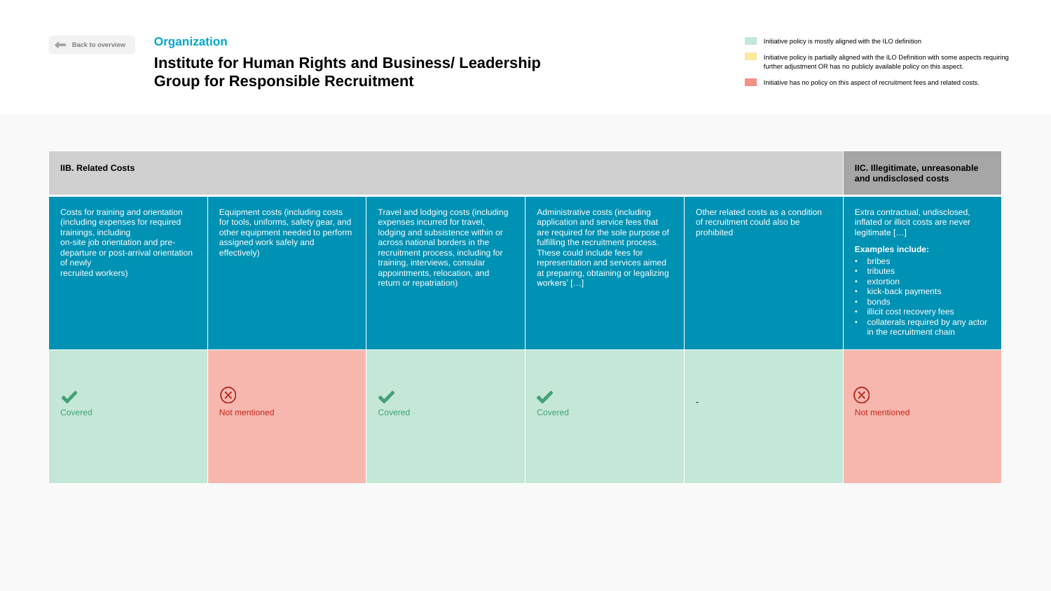|        | Initiative policy is mostly aligned with the ILO definition                                                                                                          |
|--------|----------------------------------------------------------------------------------------------------------------------------------------------------------------------|
| ership | Initiative policy is partially aligned with the ILO Definition with some aspects requiring<br>further adjustment OR has no publicly available policy on this aspect. |
|        | Initiative has no policy on this aspect of recruitment fees and related costs.                                                                                       |

## **Institute for Human Rights and Business/ Leade Group for Responsible Recruitment**

| <b>IIB. Related Costs</b>                                                                                                                                                                                     | IIC. Illegitimate, unreasonable<br>and undisclosed costs                                                                                                   |                                                                                                                                                                                                                                                                                 |                                                                                                                                                                                                                                                                                  |                                                                                  |                                                                                                                                                                                                                                                                                                    |
|---------------------------------------------------------------------------------------------------------------------------------------------------------------------------------------------------------------|------------------------------------------------------------------------------------------------------------------------------------------------------------|---------------------------------------------------------------------------------------------------------------------------------------------------------------------------------------------------------------------------------------------------------------------------------|----------------------------------------------------------------------------------------------------------------------------------------------------------------------------------------------------------------------------------------------------------------------------------|----------------------------------------------------------------------------------|----------------------------------------------------------------------------------------------------------------------------------------------------------------------------------------------------------------------------------------------------------------------------------------------------|
| Costs for training and orientation<br>(including expenses for required<br>trainings, including<br>on-site job orientation and pre-<br>departure or post-arrival orientation<br>of newly<br>recruited workers) | Equipment costs (including costs<br>for tools, uniforms, safety gear, and<br>other equipment needed to perform<br>assigned work safely and<br>effectively) | Travel and lodging costs (including<br>expenses incurred for travel,<br>lodging and subsistence within or<br>across national borders in the<br>recruitment process, including for<br>training, interviews, consular<br>appointments, relocation, and<br>return or repatriation) | Administrative costs (including<br>application and service fees that<br>are required for the sole purpose of<br>fulfilling the recruitment process.<br>These could include fees for<br>representation and services aimed<br>at preparing, obtaining or legalizing<br>workers' [] | Other related costs as a condition<br>of recruitment could also be<br>prohibited | Extra contractual, undisclosed,<br>inflated or illicit costs are never<br>legitimate []<br><b>Examples include:</b><br>• bribes<br>• tributes<br>• extortion<br>• kick-back payments<br>• bonds<br>· illicit cost recovery fees<br>• collaterals required by any actor<br>in the recruitment chain |
| $\blacktriangledown$<br><b>Covered</b>                                                                                                                                                                        | $(\times)$<br>Not mentioned                                                                                                                                | Covered                                                                                                                                                                                                                                                                         | Covered                                                                                                                                                                                                                                                                          | $\blacksquare$                                                                   | $(\times)$<br>Not mentioned                                                                                                                                                                                                                                                                        |







### **[Back to overview](#page-1-0) Organization**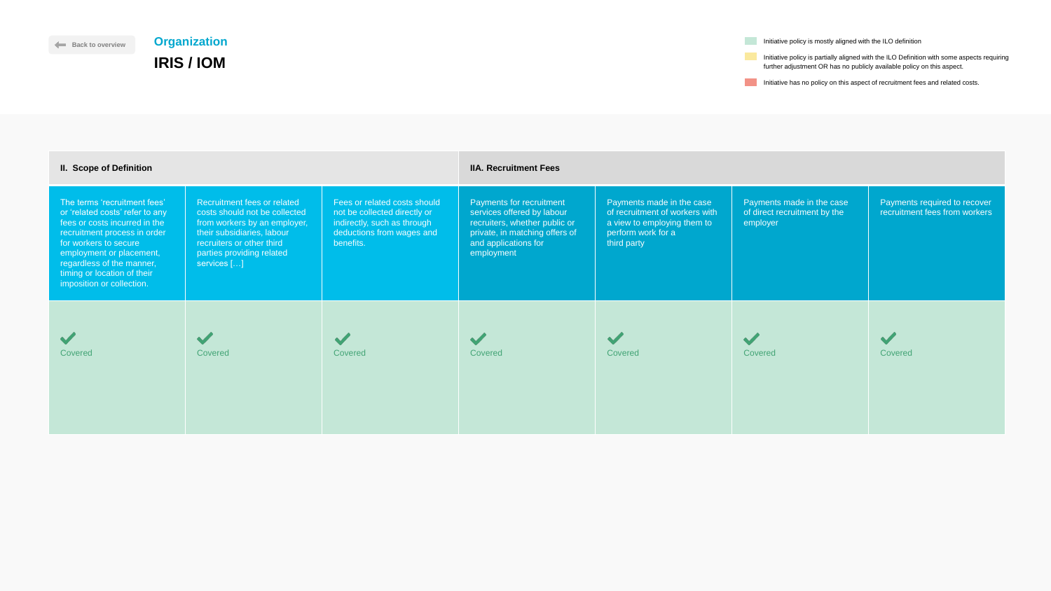| Initiative policy is mostly aligned with the ILO definition                                |
|--------------------------------------------------------------------------------------------|
|                                                                                            |
| Initiative policy is partially aligned with the ILO Definition with some aspects requiring |
| further adjustment OR has no publicly available policy on this aspect.                     |

Initiative has no policy on this aspect of recruitment fees and related costs.



| <b>II. Scope of Definition</b>                                                                                                                                                                                                                                                 |                                                                                                                                                                                                     |                                                                                                                                       | <b>IIA. Recruitment Fees</b>                                                                                                                                    |                                                                                                                                 |                                                                       |                                                               |
|--------------------------------------------------------------------------------------------------------------------------------------------------------------------------------------------------------------------------------------------------------------------------------|-----------------------------------------------------------------------------------------------------------------------------------------------------------------------------------------------------|---------------------------------------------------------------------------------------------------------------------------------------|-----------------------------------------------------------------------------------------------------------------------------------------------------------------|---------------------------------------------------------------------------------------------------------------------------------|-----------------------------------------------------------------------|---------------------------------------------------------------|
| The terms 'recruitment fees'<br>or 'related costs' refer to any<br>fees or costs incurred in the<br>recruitment process in order<br>for workers to secure<br>employment or placement,<br>regardless of the manner,<br>timing or location of their<br>imposition or collection. | Recruitment fees or related<br>costs should not be collected<br>from workers by an employer,<br>their subsidiaries, labour<br>recruiters or other third<br>parties providing related<br>services [] | Fees or related costs should<br>not be collected directly or<br>indirectly, such as through<br>deductions from wages and<br>benefits. | Payments for recruitment<br>services offered by labour<br>recruiters, whether public or<br>private, in matching offers of<br>and applications for<br>employment | Payments made in the case<br>of recruitment of workers with<br>a view to employing them to<br>perform work for a<br>third party | Payments made in the case<br>of direct recruitment by the<br>employer | Payments required to recover<br>recruitment fees from workers |
| Covered                                                                                                                                                                                                                                                                        | Covered                                                                                                                                                                                             | <b>Covered</b>                                                                                                                        | <b>Covered</b>                                                                                                                                                  | Covered                                                                                                                         | <b>Covered</b>                                                        | Covered                                                       |

# **Organization IRIS / IOM**

<span id="page-14-0"></span>**[Back to overview](#page-1-0)**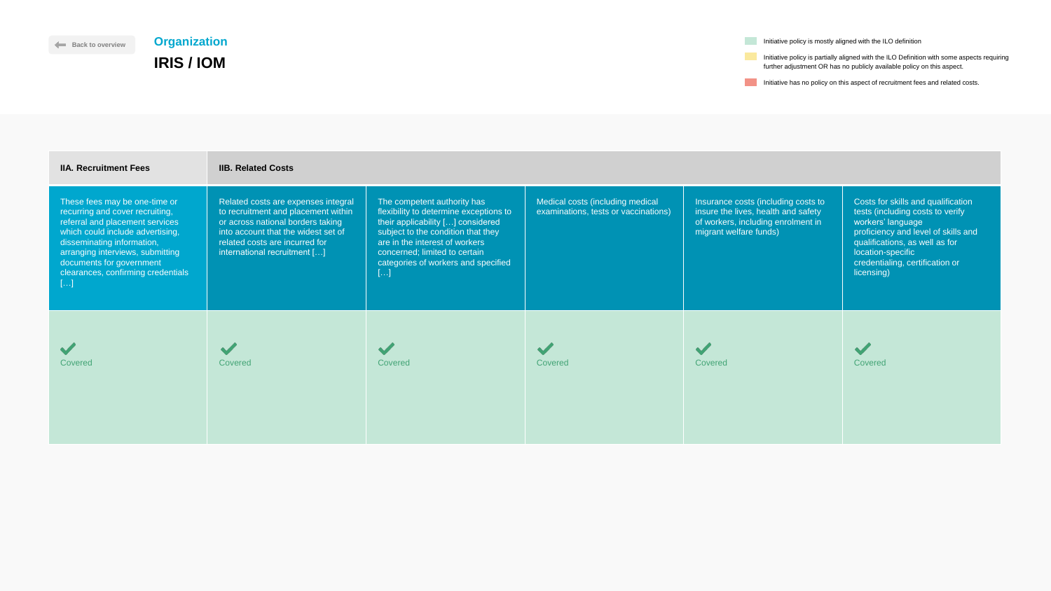**Initiative has no policy on this aspect of recruitment fees and related costs.** 

| <b>IIA. Recruitment Fees</b>                                                                                                                                                                                                                                                      | <b>IIB. Related Costs</b>                                                                                                                                                                                                |                                                                                                                                                                                                                                                                    |                                                                          |                                                                                                                                            |                                                                                                            |
|-----------------------------------------------------------------------------------------------------------------------------------------------------------------------------------------------------------------------------------------------------------------------------------|--------------------------------------------------------------------------------------------------------------------------------------------------------------------------------------------------------------------------|--------------------------------------------------------------------------------------------------------------------------------------------------------------------------------------------------------------------------------------------------------------------|--------------------------------------------------------------------------|--------------------------------------------------------------------------------------------------------------------------------------------|------------------------------------------------------------------------------------------------------------|
| These fees may be one-time or<br>recurring and cover recruiting,<br>referral and placement services<br>which could include advertising,<br>disseminating information,<br>arranging interviews, submitting<br>documents for government<br>clearances, confirming credentials<br>[] | Related costs are expenses integral<br>to recruitment and placement within<br>or across national borders taking<br>into account that the widest set of<br>related costs are incurred for<br>international recruitment [] | The competent authority has<br>flexibility to determine exceptions to<br>their applicability [] considered<br>subject to the condition that they<br>are in the interest of workers<br>concerned; limited to certain<br>categories of workers and specified<br>$[]$ | Medical costs (including medical<br>examinations, tests or vaccinations) | Insurance costs (including costs to<br>insure the lives, health and safety<br>of workers, including enrolment in<br>migrant welfare funds) | <b>Costs fo</b><br>tests (ind<br>workers'<br>proficien<br>qualifica<br>location-<br>credentia<br>licensing |
| Covered                                                                                                                                                                                                                                                                           | Covered                                                                                                                                                                                                                  | Covered                                                                                                                                                                                                                                                            | Covered                                                                  | <b>Covered</b>                                                                                                                             | <b>Covered</b>                                                                                             |

**Initiative policy is mostly aligned with the ILO definition** 





# **[Back to overview](#page-1-0) Organization IRIS / IOM**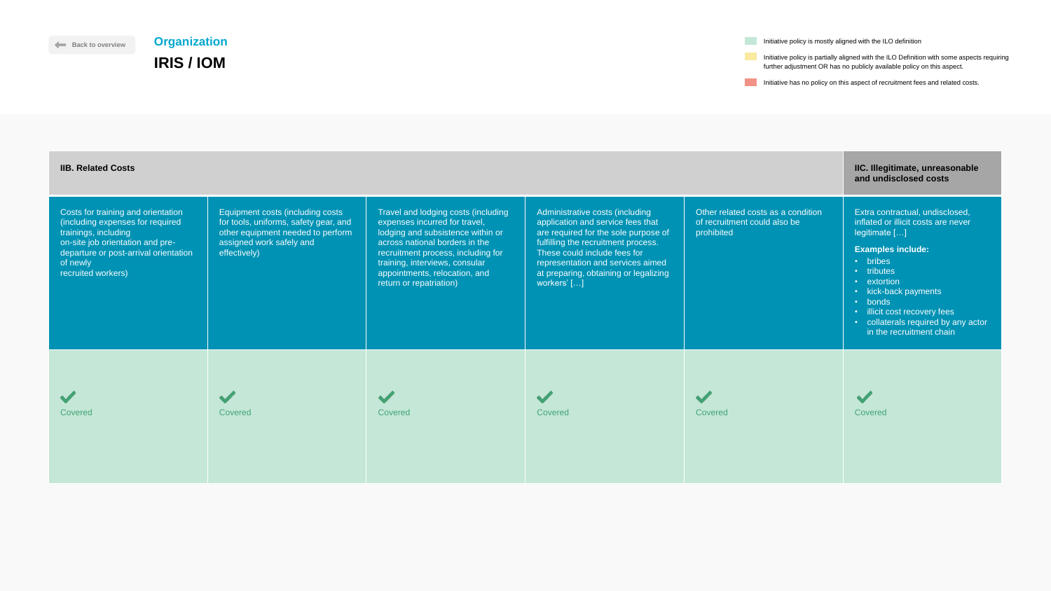Initiative has no policy on this aspect of recruitment fees and related costs.

 $\blacktriangledown$ 



**Initiative policy is mostly aligned with the ILO definition** 

| <b>IIB. Related Costs</b>                                                                                                                                                                                     |                                                                                                                                                            |                                                                                                                                                                                                                                                                                 |                                                                                                                                                                                                                                                                                  |                                                                                  | IIC. Illegitimate, unreasonable<br>and undisclosed costs                                                                                                                                                                                                                                           |
|---------------------------------------------------------------------------------------------------------------------------------------------------------------------------------------------------------------|------------------------------------------------------------------------------------------------------------------------------------------------------------|---------------------------------------------------------------------------------------------------------------------------------------------------------------------------------------------------------------------------------------------------------------------------------|----------------------------------------------------------------------------------------------------------------------------------------------------------------------------------------------------------------------------------------------------------------------------------|----------------------------------------------------------------------------------|----------------------------------------------------------------------------------------------------------------------------------------------------------------------------------------------------------------------------------------------------------------------------------------------------|
| Costs for training and orientation<br>(including expenses for required<br>trainings, including<br>on-site job orientation and pre-<br>departure or post-arrival orientation<br>of newly<br>recruited workers) | Equipment costs (including costs<br>for tools, uniforms, safety gear, and<br>other equipment needed to perform<br>assigned work safely and<br>effectively) | Travel and lodging costs (including<br>expenses incurred for travel,<br>lodging and subsistence within or<br>across national borders in the<br>recruitment process, including for<br>training, interviews, consular<br>appointments, relocation, and<br>return or repatriation) | Administrative costs (including<br>application and service fees that<br>are required for the sole purpose of<br>fulfilling the recruitment process.<br>These could include fees for<br>representation and services aimed<br>at preparing, obtaining or legalizing<br>workers' [] | Other related costs as a condition<br>of recruitment could also be<br>prohibited | Extra contractual, undisclosed,<br>inflated or illicit costs are never<br>legitimate []<br><b>Examples include:</b><br>· bribes<br>• tributes<br>• extortion<br>• kick-back payments<br>• bonds<br>· illicit cost recovery fees<br>• collaterals required by any actor<br>in the recruitment chain |
| <b>Covered</b>                                                                                                                                                                                                | Covered                                                                                                                                                    | Covered                                                                                                                                                                                                                                                                         | Covered                                                                                                                                                                                                                                                                          | Covered                                                                          | Covered                                                                                                                                                                                                                                                                                            |



# **[Back to overview](#page-1-0) Organization IRIS / IOM**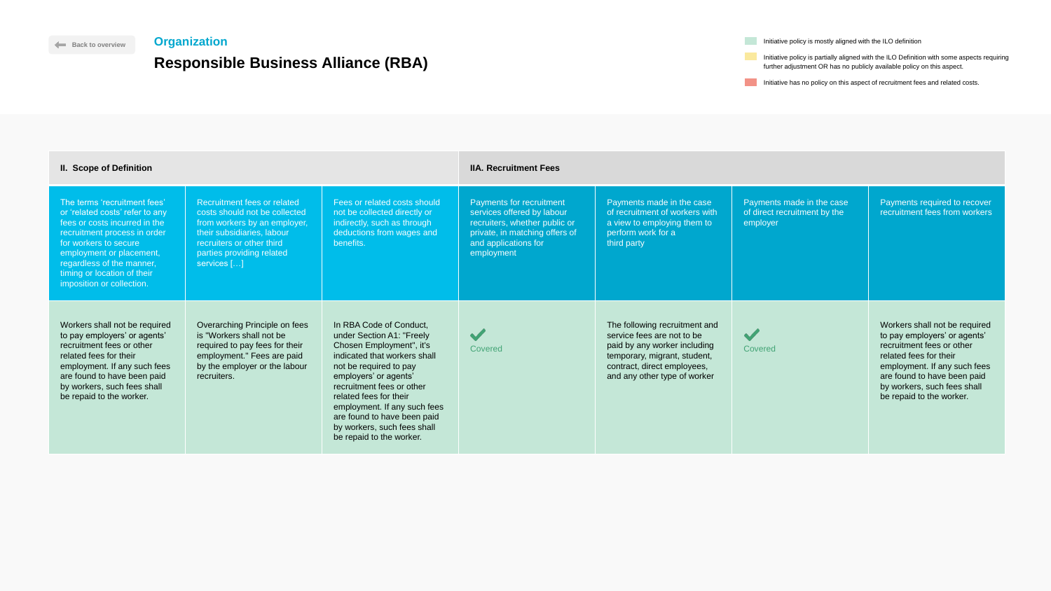Initiative has no policy on this aspect of recruitment fees and related costs.



| <b>II. Scope of Definition</b>                                                                                                                                                                                                                                                 |                                                                                                                                                                                                     |                                                                                                                                                                                                                                                                                                                                                      | <b>IIA. Recruitment Fees</b>                                                                                                                                           |                                                                                                                                                                                            |                                                                       |                                                                                                                                                                                                                                                |
|--------------------------------------------------------------------------------------------------------------------------------------------------------------------------------------------------------------------------------------------------------------------------------|-----------------------------------------------------------------------------------------------------------------------------------------------------------------------------------------------------|------------------------------------------------------------------------------------------------------------------------------------------------------------------------------------------------------------------------------------------------------------------------------------------------------------------------------------------------------|------------------------------------------------------------------------------------------------------------------------------------------------------------------------|--------------------------------------------------------------------------------------------------------------------------------------------------------------------------------------------|-----------------------------------------------------------------------|------------------------------------------------------------------------------------------------------------------------------------------------------------------------------------------------------------------------------------------------|
| The terms 'recruitment fees'<br>or 'related costs' refer to any<br>fees or costs incurred in the<br>recruitment process in order<br>for workers to secure<br>employment or placement,<br>regardless of the manner,<br>timing or location of their<br>imposition or collection. | Recruitment fees or related<br>costs should not be collected<br>from workers by an employer,<br>their subsidiaries, labour<br>recruiters or other third<br>parties providing related<br>services [] | Fees or related costs should<br>not be collected directly or<br>indirectly, such as through<br>deductions from wages and<br>benefits.                                                                                                                                                                                                                | <b>Payments for recruitment</b><br>services offered by labour<br>recruiters, whether public or<br>private, in matching offers of<br>and applications for<br>employment | Payments made in the case<br>of recruitment of workers with<br>a view to employing them to<br>perform work for a<br>third party                                                            | Payments made in the case<br>of direct recruitment by the<br>employer | Payments required to recover<br>recruitment fees from workers                                                                                                                                                                                  |
| Workers shall not be required<br>to pay employers' or agents'<br>recruitment fees or other<br>related fees for their<br>employment. If any such fees<br>are found to have been paid<br>by workers, such fees shall<br>be repaid to the worker.                                 | Overarching Principle on fees<br>is "Workers shall not be<br>required to pay fees for their<br>employment." Fees are paid<br>by the employer or the labour<br>recruiters.                           | In RBA Code of Conduct,<br>under Section A1: "Freely<br>Chosen Employment", it's<br>indicated that workers shall<br>not be required to pay<br>employers' or agents'<br>recruitment fees or other<br>related fees for their<br>employment. If any such fees<br>are found to have been paid<br>by workers, such fees shall<br>be repaid to the worker. | $\blacktriangledown$<br>Covered                                                                                                                                        | The following recruitment and<br>service fees are not to be<br>paid by any worker including<br>temporary, migrant, student,<br>contract, direct employees,<br>and any other type of worker | $\blacktriangledown$<br>Covered                                       | Workers shall not be required<br>to pay employers' or agents'<br>recruitment fees or other<br>related fees for their<br>employment. If any such fees<br>are found to have been paid<br>by workers, such fees shall<br>be repaid to the worker. |

**Initiative policy is mostly aligned with the ILO definition** 

## <span id="page-17-0"></span>**Organization**

# **Responsible Business Alliance (RBA)**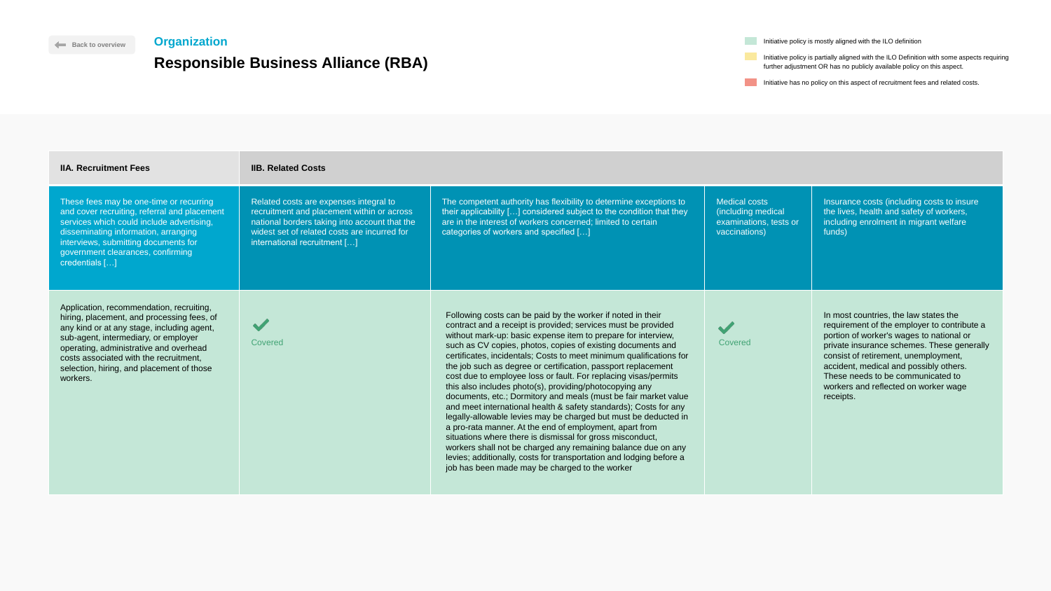Initiative policy is mostly aligned with the ILO definition

**Initiative policy is partially aligned with the ILO Definition with some aspects requiring** further adjustment OR has no publicly available policy on this aspect.

Initiative has no policy on this aspect of recruitment fees and related costs.

t authority has flexibility to determine exceptions to ity  $\left[ \ldots \right]$  considered subject to the condition that they rest of workers concerned; limited to certain vorkers and specified  $[...]$ 

| <b>IIA. Recruitment Fees</b>                                                                                                                                                                                                                                                                                              | <b>IIB. Related Costs</b>                                                                                                                                                                                             |                                                                                                                                                                                                                                                                                            |
|---------------------------------------------------------------------------------------------------------------------------------------------------------------------------------------------------------------------------------------------------------------------------------------------------------------------------|-----------------------------------------------------------------------------------------------------------------------------------------------------------------------------------------------------------------------|--------------------------------------------------------------------------------------------------------------------------------------------------------------------------------------------------------------------------------------------------------------------------------------------|
| These fees may be one-time or recurring<br>and cover recruiting, referral and placement<br>services which could include advertising,<br>disseminating information, arranging<br>interviews, submitting documents for<br>government clearances, confirming<br>credentials []                                               | Related costs are expenses integral to<br>recruitment and placement within or across<br>national borders taking into account that the<br>widest set of related costs are incurred for<br>international recruitment [] | The competen<br>their applicabil<br>are in the inter<br>categories of v                                                                                                                                                                                                                    |
| Application, recommendation, recruiting,<br>hiring, placement, and processing fees, of<br>any kind or at any stage, including agent,<br>sub-agent, intermediary, or employer<br>operating, administrative and overhead<br>costs associated with the recruitment,<br>selection, hiring, and placement of those<br>workers. | <b>Covered</b>                                                                                                                                                                                                        | <b>Following cos</b><br>contract and<br>without mark-<br>such as CV c<br>certificates, ir<br>the job such a<br>cost due to el<br>this also inclu<br>documents, e<br>and meet inte<br>legally-allowa<br>a pro-rata ma<br>situations wh<br>workers shall<br>levies; addition<br>job has been |

Medical costs (including medical examinations, tests or vaccinations)

Insurance costs (including costs to insure the lives, health and safety of workers, including enrolment in migrant welfare funds)

sts can be paid by the worker if noted in their a receipt is provided; services must be provided -up: basic expense item to prepare for interview, copies, photos, copies of existing documents and ncidentals; Costs to meet minimum qualifications for as degree or certification, passport replacement mployee loss or fault. For replacing visas/permits  $t$ des photo(s), providing/photocopying any etc.; Dormitory and meals (must be fair market value ernational health & safety standards); Costs for any able levies may be charged but must be deducted in anner. At the end of employment, apart from ere there is dismissal for gross misconduct, not be charged any remaining balance due on any onally, costs for transportation and lodging before a made may be charged to the worker



In most countries, the law states the requirement of the employer to contribute a portion of worker's wages to national or private insurance schemes. These generally consist of retirement, unemployment, accident, medical and possibly others. These needs to be communicated to workers and reflected on worker wage receipts.



### **[Back to overview](#page-1-0) Organization**

## **Responsible Business Alliance (RBA)**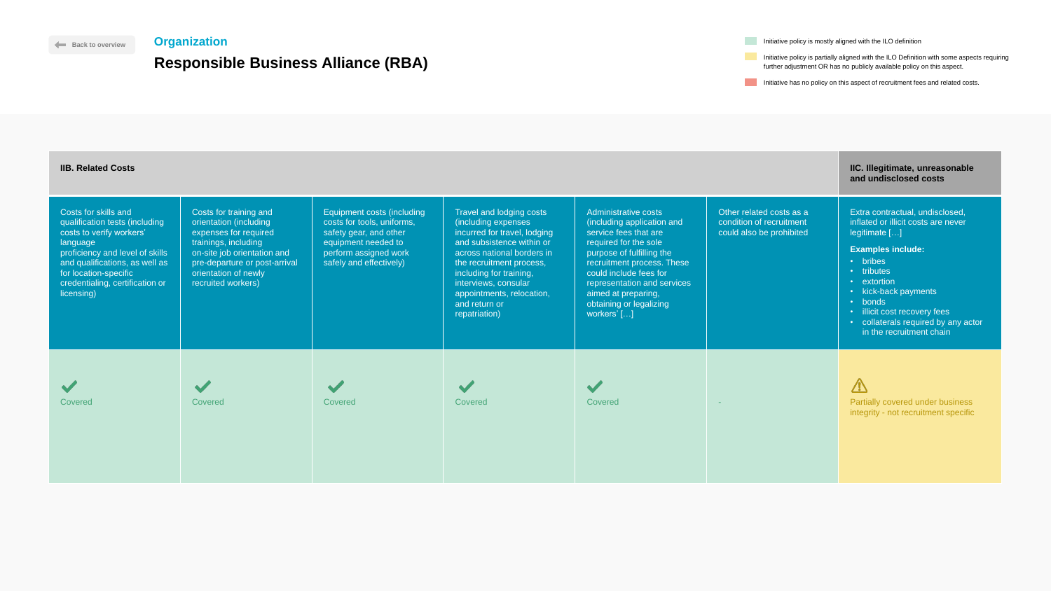Initiative has no policy on this aspect of recruitment fees and related costs.



| <b>IIB. Related Costs</b>                                                                                                                                                                                                                     |                                                                                                                                                                                                                 |                                                                                                                                                               |                                                                                                                                                                                                                                                                                          |                                                                                                                                                                                                                                                                                           |                                                                                  | IIC. Illegitimate, unreasonable<br>and undisclosed costs                                                                                                                                                                                                                                           |
|-----------------------------------------------------------------------------------------------------------------------------------------------------------------------------------------------------------------------------------------------|-----------------------------------------------------------------------------------------------------------------------------------------------------------------------------------------------------------------|---------------------------------------------------------------------------------------------------------------------------------------------------------------|------------------------------------------------------------------------------------------------------------------------------------------------------------------------------------------------------------------------------------------------------------------------------------------|-------------------------------------------------------------------------------------------------------------------------------------------------------------------------------------------------------------------------------------------------------------------------------------------|----------------------------------------------------------------------------------|----------------------------------------------------------------------------------------------------------------------------------------------------------------------------------------------------------------------------------------------------------------------------------------------------|
| Costs for skills and<br>qualification tests (including<br>costs to verify workers'<br>language<br>proficiency and level of skills<br>and qualifications, as well as<br>for location-specific<br>credentialing, certification or<br>licensing) | Costs for training and<br>orientation (including<br>expenses for required<br>trainings, including<br>on-site job orientation and<br>pre-departure or post-arrival<br>orientation of newly<br>recruited workers) | Equipment costs (including<br>costs for tools, uniforms,<br>safety gear, and other<br>equipment needed to<br>perform assigned work<br>safely and effectively) | Travel and lodging costs<br>(including expenses<br>incurred for travel, lodging<br>and subsistence within or<br>across national borders in<br>the recruitment process,<br>including for training,<br>interviews, consular<br>appointments, relocation,<br>and return or<br>repatriation) | Administrative costs<br>(including application and<br>service fees that are<br>required for the sole<br>purpose of fulfilling the<br>recruitment process. These<br>could include fees for<br>representation and services<br>aimed at preparing,<br>obtaining or legalizing<br>workers' [] | Other related costs as a<br>condition of recruitment<br>could also be prohibited | Extra contractual, undisclosed,<br>inflated or illicit costs are never<br>legitimate []<br><b>Examples include:</b><br>· bribes<br>• tributes<br>• extortion<br>• kick-back payments<br>• bonds<br>· illicit cost recovery fees<br>• collaterals required by any actor<br>in the recruitment chain |
| Covered                                                                                                                                                                                                                                       | Covered                                                                                                                                                                                                         | <b>SILLER STRAIGHTER</b><br>Covered                                                                                                                           | Covered                                                                                                                                                                                                                                                                                  | Covered                                                                                                                                                                                                                                                                                   |                                                                                  | $\overline{\mathbb{V}}$<br><b>Partially covered under business</b><br>integrity - not recruitment specific                                                                                                                                                                                         |

**Initiative policy is mostly aligned with the ILO definition** 

## **[Back to overview](#page-1-0) Organization**

# **Responsible Business Alliance (RBA)**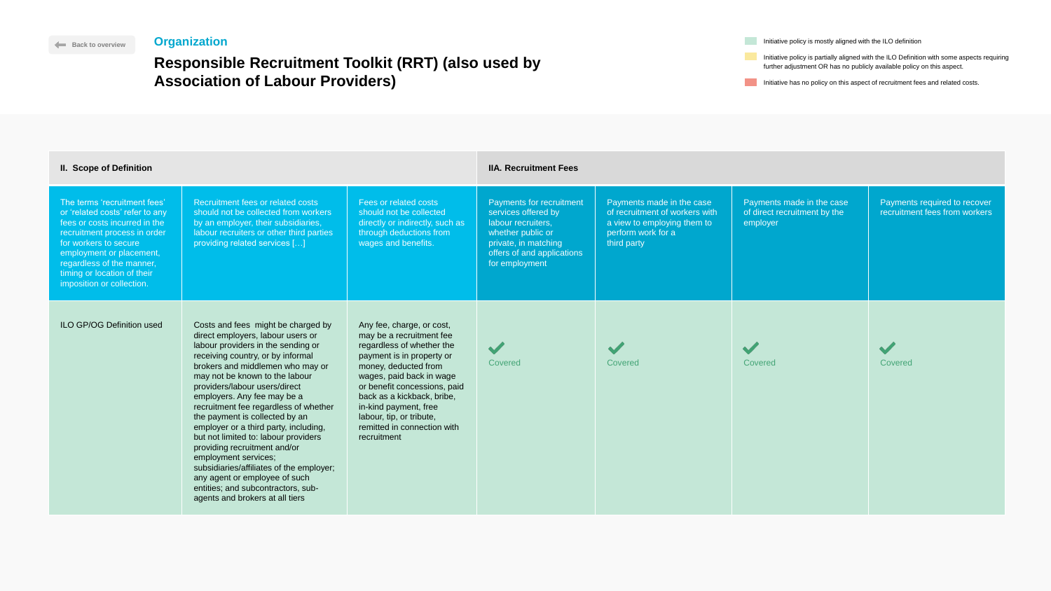|       | Initiative policy is mostly aligned with the ILO definition                                                                                                          |
|-------|----------------------------------------------------------------------------------------------------------------------------------------------------------------------|
| d by! | Initiative policy is partially aligned with the ILO Definition with some aspects requiring<br>further adjustment OR has no publicly available policy on this aspect. |
|       | Initiative has no policy on this aspect of recruitment fees and related costs.                                                                                       |



# **Responsible Recruitment Toolkit (RRT) (also used Association of Labour Providers)**

| <b>II. Scope of Definition</b>                                                                                                                                                                                                                                                 |                                                                                                                                                                                                                                                                                                                                                                                                                                                                                                                                                                                                                                                                    |                                                                                                                                                                                                                                                                                                                                      | <b>IIA. Recruitment Fees</b>                                                                                                                                       |                                                                                                                                 |                                                                       |                                                               |
|--------------------------------------------------------------------------------------------------------------------------------------------------------------------------------------------------------------------------------------------------------------------------------|--------------------------------------------------------------------------------------------------------------------------------------------------------------------------------------------------------------------------------------------------------------------------------------------------------------------------------------------------------------------------------------------------------------------------------------------------------------------------------------------------------------------------------------------------------------------------------------------------------------------------------------------------------------------|--------------------------------------------------------------------------------------------------------------------------------------------------------------------------------------------------------------------------------------------------------------------------------------------------------------------------------------|--------------------------------------------------------------------------------------------------------------------------------------------------------------------|---------------------------------------------------------------------------------------------------------------------------------|-----------------------------------------------------------------------|---------------------------------------------------------------|
| The terms 'recruitment fees'<br>or 'related costs' refer to any<br>fees or costs incurred in the<br>recruitment process in order<br>for workers to secure<br>employment or placement,<br>regardless of the manner,<br>timing or location of their<br>imposition or collection. | Recruitment fees or related costs<br>should not be collected from workers<br>by an employer, their subsidiaries,<br>labour recruiters or other third parties<br>providing related services []                                                                                                                                                                                                                                                                                                                                                                                                                                                                      | Fees or related costs<br>should not be collected<br>directly or indirectly, such as<br>through deductions from<br>wages and benefits.                                                                                                                                                                                                | Payments for recruitment<br>services offered by<br>labour recruiters,<br>whether public or<br>private, in matching<br>offers of and applications<br>for employment | Payments made in the case<br>of recruitment of workers with<br>a view to employing them to<br>perform work for a<br>third party | Payments made in the case<br>of direct recruitment by the<br>employer | Payments required to recover<br>recruitment fees from workers |
| <b>ILO GP/OG Definition used</b>                                                                                                                                                                                                                                               | Costs and fees might be charged by<br>direct employers, labour users or<br>labour providers in the sending or<br>receiving country, or by informal<br>brokers and middlemen who may or<br>may not be known to the labour<br>providers/labour users/direct<br>employers. Any fee may be a<br>recruitment fee regardless of whether<br>the payment is collected by an<br>employer or a third party, including,<br>but not limited to: labour providers<br>providing recruitment and/or<br>employment services;<br>subsidiaries/affiliates of the employer;<br>any agent or employee of such<br>entities; and subcontractors, sub-<br>agents and brokers at all tiers | Any fee, charge, or cost,<br>may be a recruitment fee<br>regardless of whether the<br>payment is in property or<br>money, deducted from<br>wages, paid back in wage<br>or benefit concessions, paid<br>back as a kickback, bribe,<br>in-kind payment, free<br>labour, tip, or tribute,<br>remitted in connection with<br>recruitment | $\sqrt{}$<br>Covered                                                                                                                                               | <b>A</b><br>Covered                                                                                                             | Covered                                                               | $\blacktriangledown$<br>Covered                               |

## <span id="page-20-0"></span>**Organization**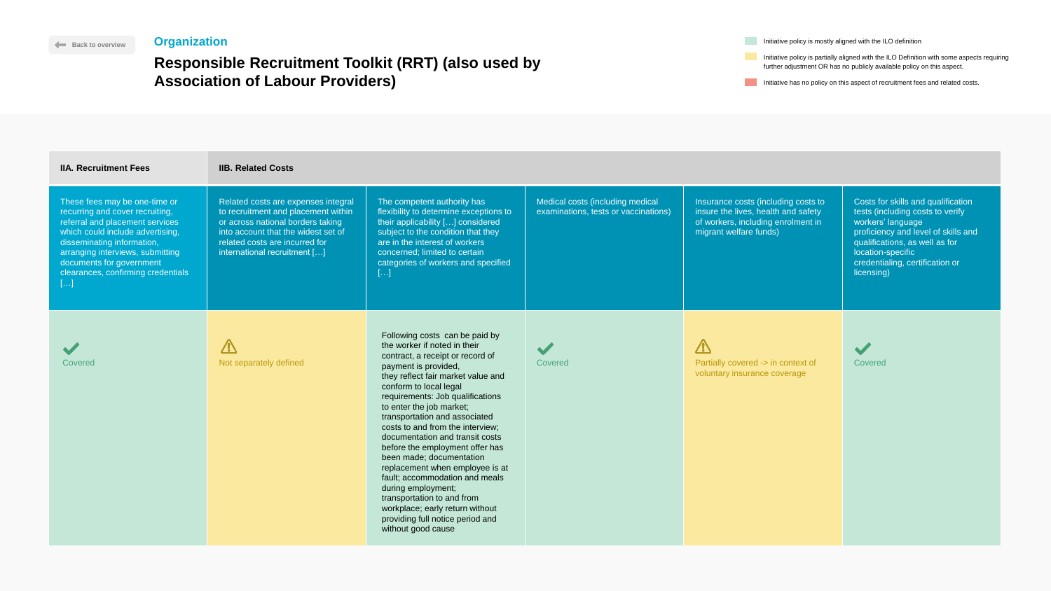Initiative has no policy on this aspect of recruitment fees and related costs.



| <b>IIA. Recruitment Fees</b>                                                                                                                                                                                                                                                       | <b>IIB. Related Costs</b>                                                                                                                                                                                                |                                                                                                                                                                                                                                                                                                                                                                                                                                                                                                                                                                                                                                                         |                                                                          |                                                                                                                                            |                                                                                                                                                                                                                                            |
|------------------------------------------------------------------------------------------------------------------------------------------------------------------------------------------------------------------------------------------------------------------------------------|--------------------------------------------------------------------------------------------------------------------------------------------------------------------------------------------------------------------------|---------------------------------------------------------------------------------------------------------------------------------------------------------------------------------------------------------------------------------------------------------------------------------------------------------------------------------------------------------------------------------------------------------------------------------------------------------------------------------------------------------------------------------------------------------------------------------------------------------------------------------------------------------|--------------------------------------------------------------------------|--------------------------------------------------------------------------------------------------------------------------------------------|--------------------------------------------------------------------------------------------------------------------------------------------------------------------------------------------------------------------------------------------|
| These fees may be one-time or<br>recurring and cover recruiting,<br>referral and placement services<br>which could include advertising,<br>disseminating information,<br>arranging interviews, submitting<br>documents for government<br>clearances, confirming credentials<br>b-l | Related costs are expenses integral<br>to recruitment and placement within<br>or across national borders taking<br>into account that the widest set of<br>related costs are incurred for<br>international recruitment [] | The competent authority has<br>flexibility to determine exceptions to<br>their applicability [] considered<br>subject to the condition that they<br>are in the interest of workers<br>concerned; limited to certain<br>categories of workers and specified<br>-l…]                                                                                                                                                                                                                                                                                                                                                                                      | Medical costs (including medical<br>examinations, tests or vaccinations) | Insurance costs (including costs to<br>insure the lives, health and safety<br>of workers, including enrolment in<br>migrant welfare funds) | Costs for skills and qualification<br>tests (including costs to verify<br>workers' language<br>proficiency and level of skills and<br>qualifications, as well as for<br>location-specific<br>credentialing, certification or<br>licensing) |
| Covered                                                                                                                                                                                                                                                                            | Not separately defined                                                                                                                                                                                                   | Following costs can be paid by<br>the worker if noted in their<br>contract, a receipt or record of<br>payment is provided,<br>they reflect fair market value and<br>conform to local legal<br>requirements: Job qualifications<br>to enter the job market;<br>transportation and associated<br>costs to and from the interview;<br>documentation and transit costs<br>before the employment offer has<br>been made; documentation<br>replacement when employee is at<br>fault; accommodation and meals<br>during employment;<br>transportation to and from<br>workplace; early return without<br>providing full notice period and<br>without good cause | Covered                                                                  | $\sqrt{V}$<br>Partially covered -> in context of<br>voluntary insurance coverage                                                           | Covered                                                                                                                                                                                                                                    |

**Initiative policy is mostly aligned with the ILO definition** 

## **[Back to overview](#page-1-0) Organization**

# **Responsible Recruitment Toolkit (RRT) (also used by Association of Labour Providers)**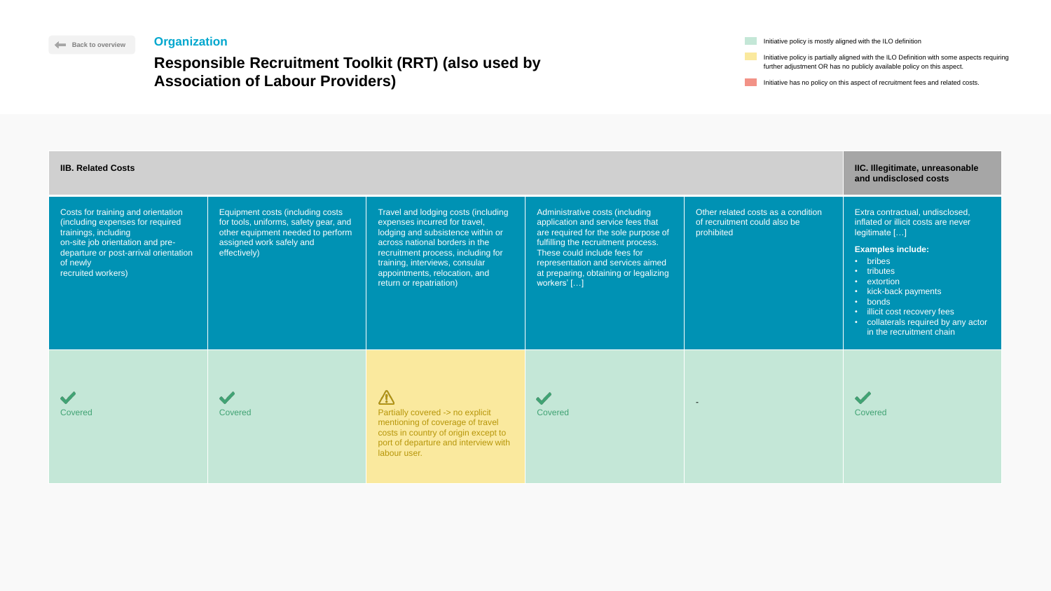Initiative policy is mostly aligned with the ILO definition

Initiative policy is partially aligned with the ILO Definition with some aspects requiring further adjustment OR has no publicly available policy on this aspect.

Initiative has no policy on this aspect of recruitment fees and related costs.

 $\checkmark$ 



## **Responsible Recruitment Toolkit (RRT) (also us Association of Labour Providers)**

| <b>IIB. Related Costs</b>                                                                                                                                                                                     |                                                                                                                                                            |                                                                                                                                                                                                                                                                                 |                                                                                                                                                                                                                                                                                  |                                                                                  | IIC. Illegitimate, unreasonable<br>and undisclosed costs                                                                                                                                                                                                                                           |
|---------------------------------------------------------------------------------------------------------------------------------------------------------------------------------------------------------------|------------------------------------------------------------------------------------------------------------------------------------------------------------|---------------------------------------------------------------------------------------------------------------------------------------------------------------------------------------------------------------------------------------------------------------------------------|----------------------------------------------------------------------------------------------------------------------------------------------------------------------------------------------------------------------------------------------------------------------------------|----------------------------------------------------------------------------------|----------------------------------------------------------------------------------------------------------------------------------------------------------------------------------------------------------------------------------------------------------------------------------------------------|
| Costs for training and orientation<br>(including expenses for required<br>trainings, including<br>on-site job orientation and pre-<br>departure or post-arrival orientation<br>of newly<br>recruited workers) | Equipment costs (including costs<br>for tools, uniforms, safety gear, and<br>other equipment needed to perform<br>assigned work safely and<br>effectively) | Travel and lodging costs (including<br>expenses incurred for travel,<br>lodging and subsistence within or<br>across national borders in the<br>recruitment process, including for<br>training, interviews, consular<br>appointments, relocation, and<br>return or repatriation) | Administrative costs (including<br>application and service fees that<br>are required for the sole purpose of<br>fulfilling the recruitment process.<br>These could include fees for<br>representation and services aimed<br>at preparing, obtaining or legalizing<br>workers' [] | Other related costs as a condition<br>of recruitment could also be<br>prohibited | Extra contractual, undisclosed,<br>inflated or illicit costs are never<br>legitimate []<br><b>Examples include:</b><br>• bribes<br>• tributes<br>• extortion<br>• kick-back payments<br>• bonds<br>• illicit cost recovery fees<br>• collaterals required by any actor<br>in the recruitment chain |
| <b>Covered</b>                                                                                                                                                                                                | Covered                                                                                                                                                    | Partially covered -> no explicit<br>mentioning of coverage of travel<br>costs in country of origin except to<br>port of departure and interview with<br>labour user.                                                                                                            | Covered                                                                                                                                                                                                                                                                          |                                                                                  | Covered                                                                                                                                                                                                                                                                                            |





### **[Back to overview](#page-1-0) Organization**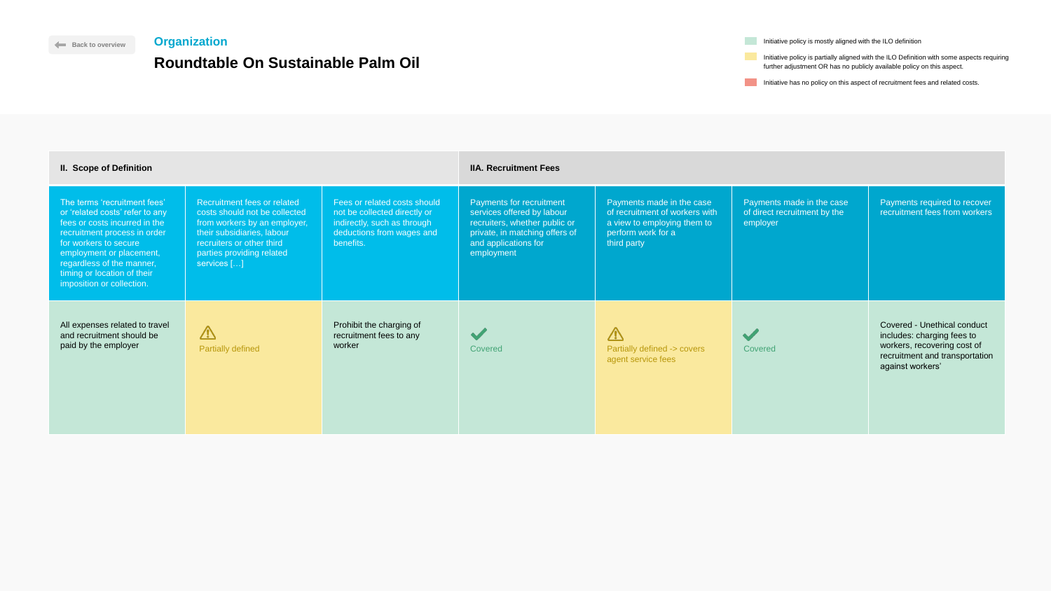| Initiative policy is mostly aligned with the ILO definition                                |
|--------------------------------------------------------------------------------------------|
| Initiative policy is partially aligned with the ILO Definition with some aspects requiring |

Initiative has no policy on this aspect of recruitment fees and related costs.

further adjustment OR has no publicly available policy on this aspect.



| <b>II. Scope of Definition</b>                                                                                                                                                                                                                                                 |                                                                                                                                                                                                     |                                                                                                                                       | <b>IIA. Recruitment Fees</b>                                                                                                                                           |                                                                                                                                 |                                                                       |                                                                                                                                                       |
|--------------------------------------------------------------------------------------------------------------------------------------------------------------------------------------------------------------------------------------------------------------------------------|-----------------------------------------------------------------------------------------------------------------------------------------------------------------------------------------------------|---------------------------------------------------------------------------------------------------------------------------------------|------------------------------------------------------------------------------------------------------------------------------------------------------------------------|---------------------------------------------------------------------------------------------------------------------------------|-----------------------------------------------------------------------|-------------------------------------------------------------------------------------------------------------------------------------------------------|
| The terms 'recruitment fees'<br>or 'related costs' refer to any<br>fees or costs incurred in the<br>recruitment process in order<br>for workers to secure<br>employment or placement,<br>regardless of the manner,<br>timing or location of their<br>imposition or collection. | Recruitment fees or related<br>costs should not be collected<br>from workers by an employer,<br>their subsidiaries, labour<br>recruiters or other third<br>parties providing related<br>services [] | Fees or related costs should<br>not be collected directly or<br>indirectly, such as through<br>deductions from wages and<br>benefits. | <b>Payments for recruitment</b><br>services offered by labour<br>recruiters, whether public or<br>private, in matching offers of<br>and applications for<br>employment | Payments made in the case<br>of recruitment of workers with<br>a view to employing them to<br>perform work for a<br>third party | Payments made in the case<br>of direct recruitment by the<br>employer | Payments required to recover<br>recruitment fees from workers                                                                                         |
| All expenses related to travel<br>and recruitment should be<br>paid by the employer                                                                                                                                                                                            | $\overline{\mathbb{V}}$<br><b>Partially defined</b>                                                                                                                                                 | Prohibit the charging of<br>recruitment fees to any<br>worker                                                                         | Covered                                                                                                                                                                | $\sqrt{2}$<br>Partially defined -> covers<br>agent service fees                                                                 | Covered                                                               | <b>Covered - Unethical conduct</b><br>includes: charging fees to<br>workers, recovering cost of<br>recruitment and transportation<br>against workers' |

## <span id="page-23-0"></span>**Organization**

# **Roundtable On Sustainable Palm Oil**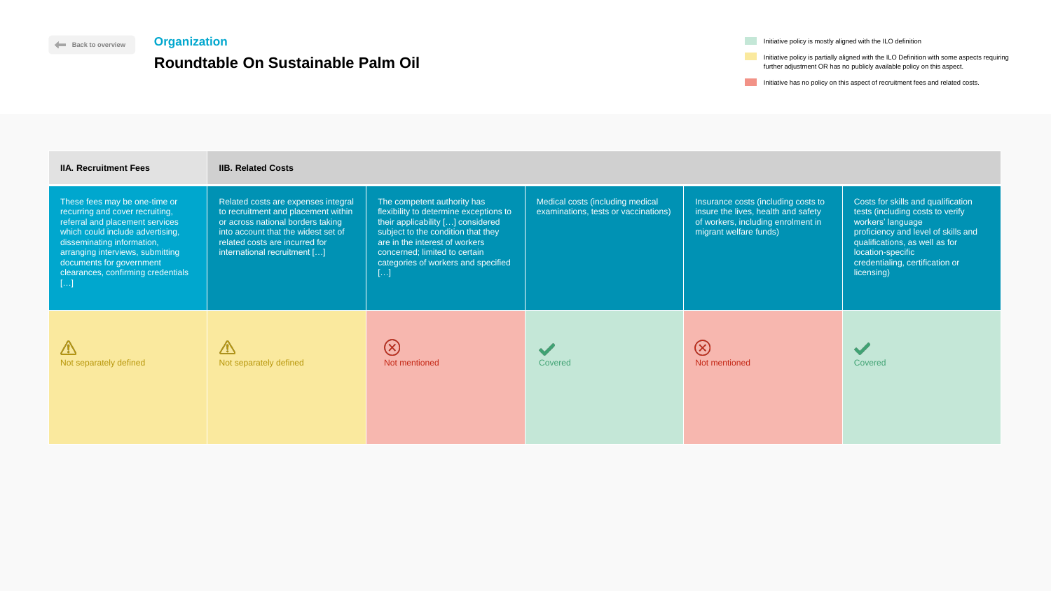Initiative has no policy on this aspect of recruitment fees and related costs.



| <b>IIA. Recruitment Fees</b>                                                                                                                                                                                                                                                      | <b>IIB. Related Costs</b>                                                                                                                                                                                                |                                                                                                                                                                                                                                                                                        |                                                                          |                                                                                                                                            |                                                                                                                                                                                                                                            |
|-----------------------------------------------------------------------------------------------------------------------------------------------------------------------------------------------------------------------------------------------------------------------------------|--------------------------------------------------------------------------------------------------------------------------------------------------------------------------------------------------------------------------|----------------------------------------------------------------------------------------------------------------------------------------------------------------------------------------------------------------------------------------------------------------------------------------|--------------------------------------------------------------------------|--------------------------------------------------------------------------------------------------------------------------------------------|--------------------------------------------------------------------------------------------------------------------------------------------------------------------------------------------------------------------------------------------|
| These fees may be one-time or<br>recurring and cover recruiting,<br>referral and placement services<br>which could include advertising,<br>disseminating information,<br>arranging interviews, submitting<br>documents for government<br>clearances, confirming credentials<br>[] | Related costs are expenses integral<br>to recruitment and placement within<br>or across national borders taking<br>into account that the widest set of<br>related costs are incurred for<br>international recruitment [] | The competent authority has<br>flexibility to determine exceptions to<br>their applicability [] considered<br>subject to the condition that they<br>are in the interest of workers<br>concerned; limited to certain<br>categories of workers and specified<br>$\lfloor \ldots \rfloor$ | Medical costs (including medical<br>examinations, tests or vaccinations) | Insurance costs (including costs to<br>insure the lives, health and safety<br>of workers, including enrolment in<br>migrant welfare funds) | Costs for skills and qualification<br>tests (including costs to verify<br>workers' language<br>proficiency and level of skills and<br>qualifications, as well as for<br>location-specific<br>credentialing, certification or<br>licensing) |
| $\sqrt{N}$<br>Not separately defined                                                                                                                                                                                                                                              | <b>TV</b><br>Not separately defined                                                                                                                                                                                      | $(\times)$<br>Not mentioned                                                                                                                                                                                                                                                            | Covered                                                                  | $(\times)$<br>Not mentioned                                                                                                                | Covered                                                                                                                                                                                                                                    |

**Initiative policy is mostly aligned with the ILO definition** 

## **[Back to overview](#page-1-0) Organization**

# **Roundtable On Sustainable Palm Oil**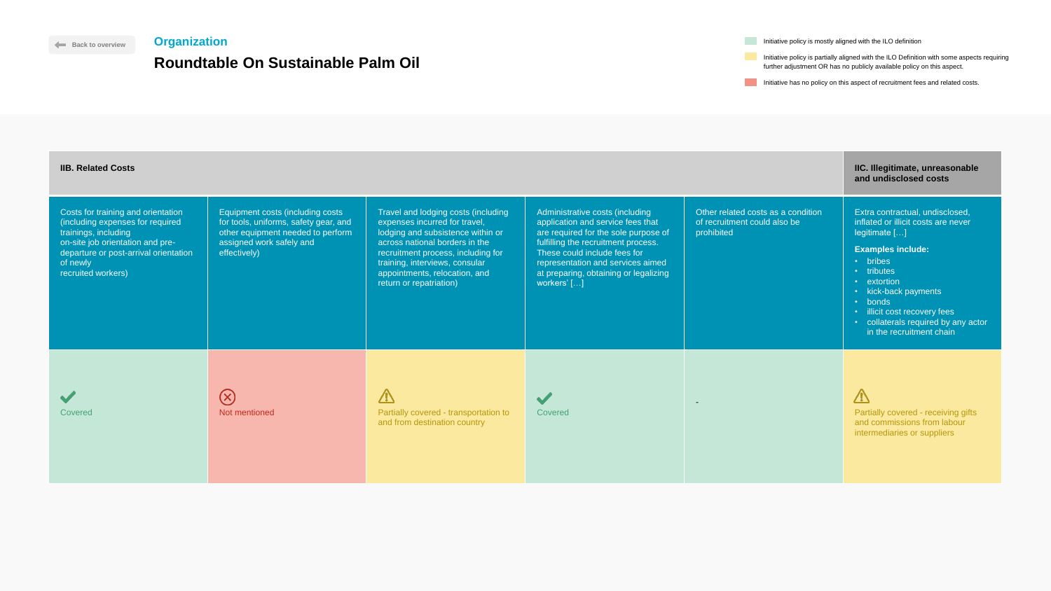Initiative policy is mostly aligned with the ILO definition

Initiative policy is partially aligned with the ILO Definition with some aspects requiring further adjustment OR has no publicly available policy on this aspect.

Initiative has no policy on this aspect of recruitment fees and related costs.

### Travel and lodging costs (includ Costs for training and orientation Equipment costs (including costs (including expenses for required for tools, uniforms, safety gear, and expenses incurred for travel, trainings, including other equipment needed to perform lodging and subsistence within on-site job orientation and preassigned work safely and across national borders in the departure or post-arrival orientation effectively) recruitment process, including f training, interviews, consular of newly recruited workers) appointments, relocation, and return or repatriation)  $\circledR$  $\Delta$  $\blacktriangledown$ Covered **Not mentioned Partially covered - transportation Covered Factually covered - transportation to the example of the example of the example of the example of the example of the example of the example of the examp** and from destination country

| <b>IIB. Related Costs</b>                                                                                                                                                                                     |                                                                                                                                                            |                                                                                                                                                                                                                                                                                 |                                                                                                                                                                                                                                                                                  |                                                                                  | IIC. Illegitimate, unreasonable<br>and undisclosed costs                                                                                                                                                                                                                                           |
|---------------------------------------------------------------------------------------------------------------------------------------------------------------------------------------------------------------|------------------------------------------------------------------------------------------------------------------------------------------------------------|---------------------------------------------------------------------------------------------------------------------------------------------------------------------------------------------------------------------------------------------------------------------------------|----------------------------------------------------------------------------------------------------------------------------------------------------------------------------------------------------------------------------------------------------------------------------------|----------------------------------------------------------------------------------|----------------------------------------------------------------------------------------------------------------------------------------------------------------------------------------------------------------------------------------------------------------------------------------------------|
| Costs for training and orientation<br>(including expenses for required<br>trainings, including<br>on-site job orientation and pre-<br>departure or post-arrival orientation<br>of newly<br>recruited workers) | Equipment costs (including costs<br>for tools, uniforms, safety gear, and<br>other equipment needed to perform<br>assigned work safely and<br>effectively) | Travel and lodging costs (including<br>expenses incurred for travel,<br>lodging and subsistence within or<br>across national borders in the<br>recruitment process, including for<br>training, interviews, consular<br>appointments, relocation, and<br>return or repatriation) | Administrative costs (including<br>application and service fees that<br>are required for the sole purpose of<br>fulfilling the recruitment process.<br>These could include fees for<br>representation and services aimed<br>at preparing, obtaining or legalizing<br>workers' [] | Other related costs as a condition<br>of recruitment could also be<br>prohibited | Extra contractual, undisclosed,<br>inflated or illicit costs are never<br>legitimate []<br><b>Examples include:</b><br>• bribes<br>• tributes<br>• extortion<br>• kick-back payments<br>· bonds<br>• illicit cost recovery fees<br>• collaterals required by any actor<br>in the recruitment chain |
| Covered                                                                                                                                                                                                       | $(\mathsf{X})$<br>Not mentioned                                                                                                                            | $\sum_{i=1}^{n}$<br>Partially covered - transportation to<br>and from destination country                                                                                                                                                                                       | Covered                                                                                                                                                                                                                                                                          |                                                                                  | $\sqrt{N}$<br><b>Partially covered - receiving gifts</b><br>and commissions from labour<br>intermediaries or suppliers                                                                                                                                                                             |



### **[Back to overview](#page-1-0) Organization**

## **Roundtable On Sustainable Palm Oil**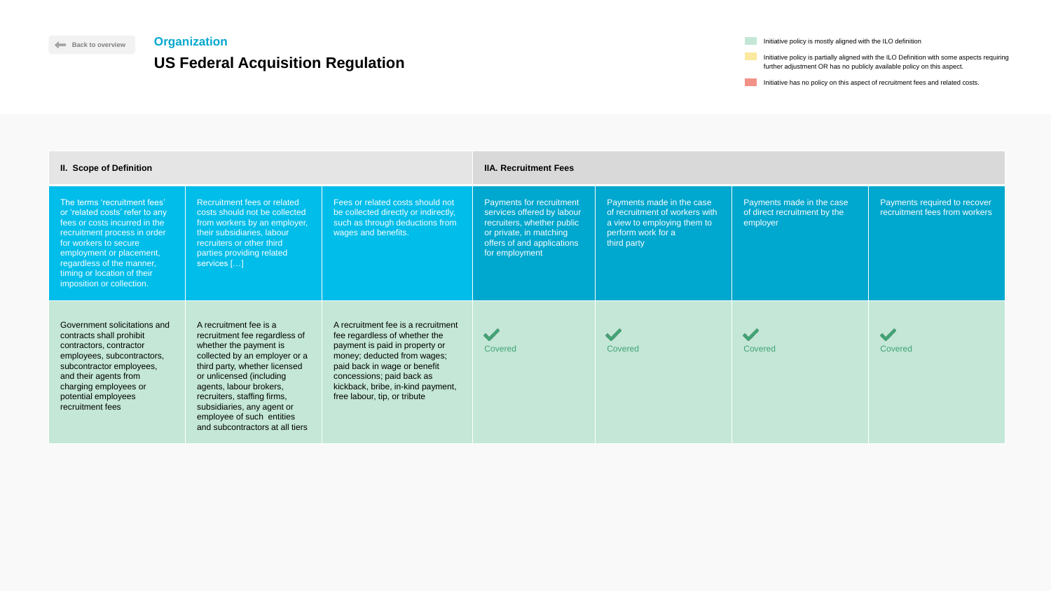| Initiative policy is mostly aligned with the ILO definition                                |
|--------------------------------------------------------------------------------------------|
|                                                                                            |
| Initiative policy is partially aligned with the ILO Definition with some aspects requiring |
| further adjustment OR has no publicly available policy on this aspect.                     |

Initiative has no policy on this aspect of recruitment fees and related costs.



| <b>II. Scope of Definition</b>                                                                                                                                                                                                                                                 |                                                                                                                                                                                                                                                                                                                                         |                                                                                                                                                                                                                                                                        | <b>IIA. Recruitment Fees</b>                                                                                                                                    |                                                                                                                                 |                                                                       |                                                               |
|--------------------------------------------------------------------------------------------------------------------------------------------------------------------------------------------------------------------------------------------------------------------------------|-----------------------------------------------------------------------------------------------------------------------------------------------------------------------------------------------------------------------------------------------------------------------------------------------------------------------------------------|------------------------------------------------------------------------------------------------------------------------------------------------------------------------------------------------------------------------------------------------------------------------|-----------------------------------------------------------------------------------------------------------------------------------------------------------------|---------------------------------------------------------------------------------------------------------------------------------|-----------------------------------------------------------------------|---------------------------------------------------------------|
| The terms 'recruitment fees'<br>or 'related costs' refer to any<br>fees or costs incurred in the<br>recruitment process in order<br>for workers to secure<br>employment or placement,<br>regardless of the manner,<br>timing or location of their<br>imposition or collection. | Recruitment fees or related<br>costs should not be collected<br>from workers by an employer,<br>their subsidiaries, labour<br>recruiters or other third<br>parties providing related<br>services []                                                                                                                                     | Fees or related costs should not<br>be collected directly or indirectly,<br>such as through deductions from<br>wages and benefits.                                                                                                                                     | Payments for recruitment<br>services offered by labour<br>recruiters, whether public<br>or private, in matching<br>offers of and applications<br>for employment | Payments made in the case<br>of recruitment of workers with<br>a view to employing them to<br>perform work for a<br>third party | Payments made in the case<br>of direct recruitment by the<br>employer | Payments required to recover<br>recruitment fees from workers |
| Government solicitations and<br>contracts shall prohibit<br>contractors, contractor<br>employees, subcontractors,<br>subcontractor employees,<br>and their agents from<br>charging employees or<br>potential employees<br>recruitment fees                                     | A recruitment fee is a<br>recruitment fee regardless of<br>whether the payment is<br>collected by an employer or a<br>third party, whether licensed<br>or unlicensed (including<br>agents, labour brokers,<br>recruiters, staffing firms,<br>subsidiaries, any agent or<br>employee of such entities<br>and subcontractors at all tiers | A recruitment fee is a recruitment<br>fee regardless of whether the<br>payment is paid in property or<br>money; deducted from wages;<br>paid back in wage or benefit<br>concessions; paid back as<br>kickback, bribe, in-kind payment,<br>free labour, tip, or tribute | $\blacktriangledown$<br>Covered                                                                                                                                 | Covered                                                                                                                         | Covered                                                               | Covered                                                       |

## <span id="page-26-0"></span>**Organization**

# **US Federal Acquisition Regulation**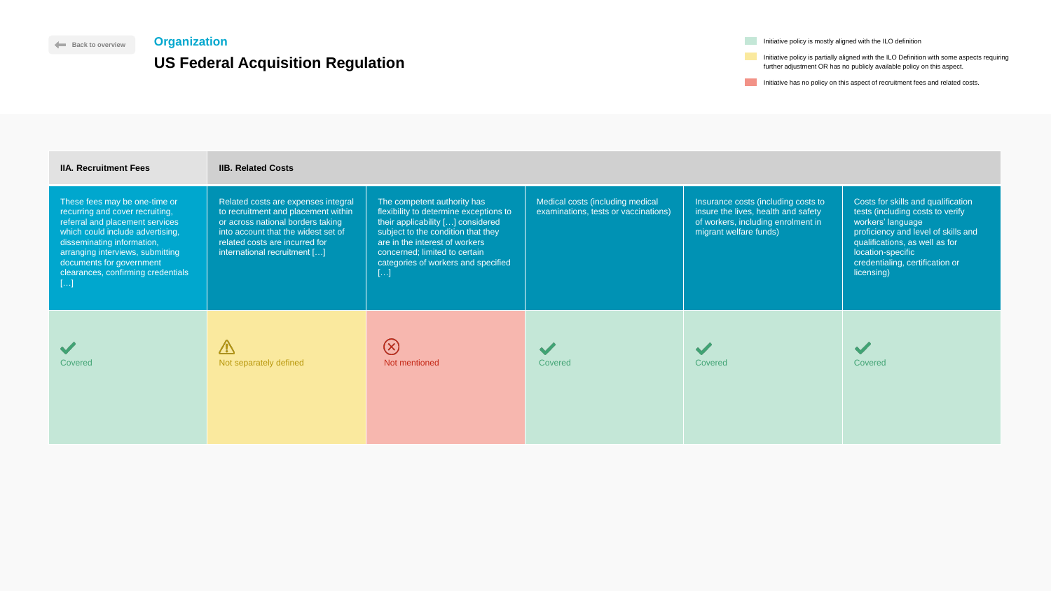Initiative has no policy on this aspect of recruitment fees and related costs.

| <b>IIA. Recruitment Fees</b>                                                                                                                                                                                                                                                      | <b>IIB. Related Costs</b>                                                                                                                                                                                                |                                                                                                                                                                                                                                                                  |                                                                          |                                                                                                                                            |                                                                                                            |
|-----------------------------------------------------------------------------------------------------------------------------------------------------------------------------------------------------------------------------------------------------------------------------------|--------------------------------------------------------------------------------------------------------------------------------------------------------------------------------------------------------------------------|------------------------------------------------------------------------------------------------------------------------------------------------------------------------------------------------------------------------------------------------------------------|--------------------------------------------------------------------------|--------------------------------------------------------------------------------------------------------------------------------------------|------------------------------------------------------------------------------------------------------------|
| These fees may be one-time or<br>recurring and cover recruiting,<br>referral and placement services<br>which could include advertising,<br>disseminating information,<br>arranging interviews, submitting<br>documents for government<br>clearances, confirming credentials<br>[] | Related costs are expenses integral<br>to recruitment and placement within<br>or across national borders taking<br>into account that the widest set of<br>related costs are incurred for<br>international recruitment [] | The competent authority has<br>flexibility to determine exceptions to<br>their applicability [] considered<br>subject to the condition that they<br>are in the interest of workers<br>concerned; limited to certain<br>categories of workers and specified<br>[] | Medical costs (including medical<br>examinations, tests or vaccinations) | Insurance costs (including costs to<br>insure the lives, health and safety<br>of workers, including enrolment in<br>migrant welfare funds) | <b>Costs fo</b><br>tests (ind<br>workers'<br>proficien<br>qualifica<br>location-<br>credentia<br>licensing |
| Covered                                                                                                                                                                                                                                                                           | Not separately defined                                                                                                                                                                                                   | $\bigotimes$<br>Not mentioned                                                                                                                                                                                                                                    | Covered                                                                  | Covered                                                                                                                                    | <b>Covered</b>                                                                                             |

**Initiative policy is mostly aligned with the ILO definition** 





### **[Back to overview](#page-1-0) Organization**

## **US Federal Acquisition Regulation**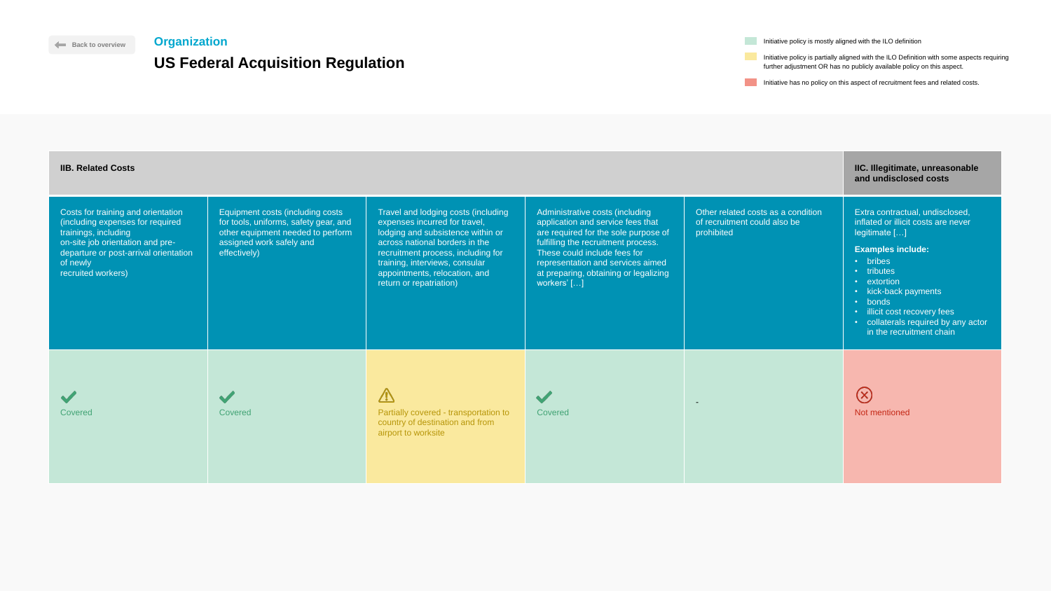Initiative policy is mostly aligned with the ILO definition

Initiative policy is partially aligned with the ILO Definition with some aspects requiring further adjustment OR has no publicly available policy on this aspect.

Initiative has no policy on this aspect of recruitment fees and related costs.

### Travel and lodging costs (includ Costs for training and orientation Equipment costs (including costs (including expenses for required for tools, uniforms, safety gear, and expenses incurred for travel, other equipment needed to perform trainings, including lodging and subsistence within assigned work safely and on-site job orientation and preacross national borders in the departure or post-arrival orientation effectively) recruitment process, including training, interviews, consular of newly appointments, relocation, and recruited workers) return or repatriation)  $\triangle$  $\blacktriangledown$ Covered **Covered Covered Covered Covered** Covered **Partially covered - transportation to the Partially covered - transportation** country of destination and from airport to worksite

| <b>IIB. Related Costs</b>                                                                                                                                                                                     | IIC. Illegitimate, unreasonable<br>and undisclosed costs                                                                                                   |                                                                                                                                                                                                                                                                                 |                                                                                                                                                                                                                                                                                  |                                                                                  |                                                                                                                                                                                                                                                                                                    |
|---------------------------------------------------------------------------------------------------------------------------------------------------------------------------------------------------------------|------------------------------------------------------------------------------------------------------------------------------------------------------------|---------------------------------------------------------------------------------------------------------------------------------------------------------------------------------------------------------------------------------------------------------------------------------|----------------------------------------------------------------------------------------------------------------------------------------------------------------------------------------------------------------------------------------------------------------------------------|----------------------------------------------------------------------------------|----------------------------------------------------------------------------------------------------------------------------------------------------------------------------------------------------------------------------------------------------------------------------------------------------|
| Costs for training and orientation<br>(including expenses for required<br>trainings, including<br>on-site job orientation and pre-<br>departure or post-arrival orientation<br>of newly<br>recruited workers) | Equipment costs (including costs<br>for tools, uniforms, safety gear, and<br>other equipment needed to perform<br>assigned work safely and<br>effectively) | Travel and lodging costs (including<br>expenses incurred for travel,<br>lodging and subsistence within or<br>across national borders in the<br>recruitment process, including for<br>training, interviews, consular<br>appointments, relocation, and<br>return or repatriation) | Administrative costs (including<br>application and service fees that<br>are required for the sole purpose of<br>fulfilling the recruitment process.<br>These could include fees for<br>representation and services aimed<br>at preparing, obtaining or legalizing<br>workers' [] | Other related costs as a condition<br>of recruitment could also be<br>prohibited | Extra contractual, undisclosed,<br>inflated or illicit costs are never<br>legitimate []<br><b>Examples include:</b><br>• bribes<br>• tributes<br>• extortion<br>• kick-back payments<br>• bonds<br>· illicit cost recovery fees<br>• collaterals required by any actor<br>in the recruitment chain |
| <b>Covered</b>                                                                                                                                                                                                | Covered                                                                                                                                                    | $\sqrt{N}$<br>Partially covered - transportation to<br>country of destination and from<br>airport to worksite                                                                                                                                                                   | Covered                                                                                                                                                                                                                                                                          | $\blacksquare$                                                                   | $\left(\times\right)$<br>Not mentioned                                                                                                                                                                                                                                                             |



### **[Back to overview](#page-1-0) Organization**

## **US Federal Acquisition Regulation**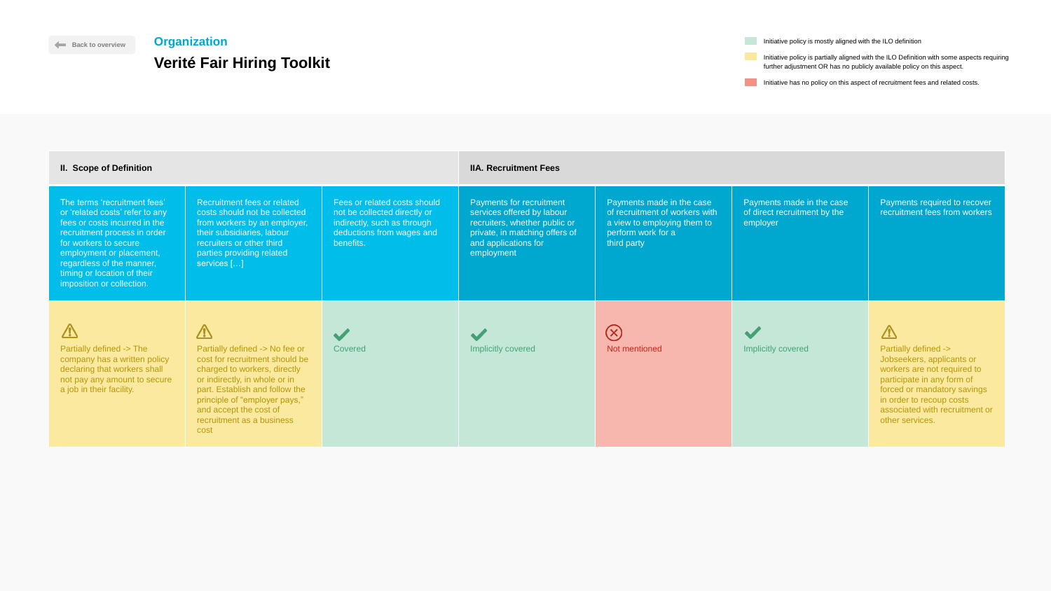| Initiative policy is mostly aligned with the ILO definition |
|-------------------------------------------------------------|
|-------------------------------------------------------------|

 $\mathcal{L}^{\mathcal{L}}$ 

Initiative policy is partially aligned with the ILO Definition with some aspects requiring further adjustment OR has no publicly available policy on this aspect.

Initiative has no policy on this aspect of recruitment fees and related costs.



| <b>II. Scope of Definition</b>                                                                                                                                                                                                                                                 |                                                                                                                                                                                                                                                                                   |                                                                                                                                       | <b>IIA. Recruitment Fees</b>                                                                                                                                    |                                                                                                                                 |                                                                       |                                                                                                                                                                                                                                                        |  |
|--------------------------------------------------------------------------------------------------------------------------------------------------------------------------------------------------------------------------------------------------------------------------------|-----------------------------------------------------------------------------------------------------------------------------------------------------------------------------------------------------------------------------------------------------------------------------------|---------------------------------------------------------------------------------------------------------------------------------------|-----------------------------------------------------------------------------------------------------------------------------------------------------------------|---------------------------------------------------------------------------------------------------------------------------------|-----------------------------------------------------------------------|--------------------------------------------------------------------------------------------------------------------------------------------------------------------------------------------------------------------------------------------------------|--|
| The terms 'recruitment fees'<br>or 'related costs' refer to any<br>fees or costs incurred in the<br>recruitment process in order<br>for workers to secure<br>employment or placement,<br>regardless of the manner,<br>timing or location of their<br>imposition or collection. | Recruitment fees or related<br>costs should not be collected<br>from workers by an employer,<br>their subsidiaries, labour<br>recruiters or other third<br>parties providing related<br>services []                                                                               | Fees or related costs should<br>not be collected directly or<br>indirectly, such as through<br>deductions from wages and<br>benefits. | Payments for recruitment<br>services offered by labour<br>recruiters, whether public or<br>private, in matching offers of<br>and applications for<br>employment | Payments made in the case<br>of recruitment of workers with<br>a view to employing them to<br>perform work for a<br>third party | Payments made in the case<br>of direct recruitment by the<br>employer | Payments required to recover<br>recruitment fees from workers                                                                                                                                                                                          |  |
| $\sqrt{1}$<br>Partially defined -> The<br>company has a written policy<br>declaring that workers shall<br>not pay any amount to secure<br>a job in their facility.                                                                                                             | $\sqrt{1}$<br>Partially defined -> No fee or<br>cost for recruitment should be<br>charged to workers, directly<br>or indirectly, in whole or in<br>part. Establish and follow the<br>principle of "employer pays,"<br>and accept the cost of<br>recruitment as a business<br>cost | Covered                                                                                                                               | <b>Implicitly covered</b>                                                                                                                                       | $\left(\times\right)$<br>Not mentioned                                                                                          | Implicitly covered                                                    | $\sqrt{V}$<br><b>Partially defined -&gt;</b><br>Jobseekers, applicants or<br>workers are not required to<br>participate in any form of<br>forced or mandatory savings<br>in order to recoup costs<br>associated with recruitment or<br>other services. |  |

## <span id="page-29-0"></span>**Organization**

# **Verité Fair Hiring Toolkit**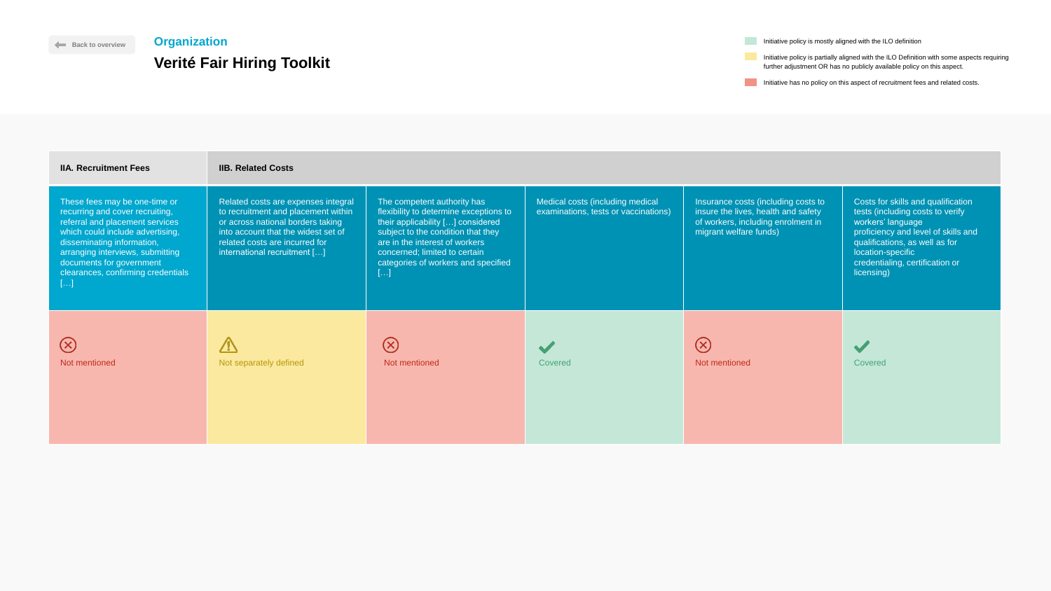Initiative has no policy on this aspect of recruitment fees and related costs.



| <b>IIA. Recruitment Fees</b>                                                                                                                                                                                                                                                      | <b>IIB. Related Costs</b>                                                                                                                                                                                                |                                                                                                                                                                                                                                                                                       |                                                                          |                                                                                                                                            |                                                                                                                                                                                                                                            |
|-----------------------------------------------------------------------------------------------------------------------------------------------------------------------------------------------------------------------------------------------------------------------------------|--------------------------------------------------------------------------------------------------------------------------------------------------------------------------------------------------------------------------|---------------------------------------------------------------------------------------------------------------------------------------------------------------------------------------------------------------------------------------------------------------------------------------|--------------------------------------------------------------------------|--------------------------------------------------------------------------------------------------------------------------------------------|--------------------------------------------------------------------------------------------------------------------------------------------------------------------------------------------------------------------------------------------|
| These fees may be one-time or<br>recurring and cover recruiting,<br>referral and placement services<br>which could include advertising,<br>disseminating information,<br>arranging interviews, submitting<br>documents for government<br>clearances, confirming credentials<br>[] | Related costs are expenses integral<br>to recruitment and placement within<br>or across national borders taking<br>into account that the widest set of<br>related costs are incurred for<br>international recruitment [] | The competent authority has<br>flexibility to determine exceptions to<br>their applicability [] considered<br>subject to the condition that they<br>are in the interest of workers<br>concerned; limited to certain<br>categories of workers and specified<br>$\left[ \ldots \right]$ | Medical costs (including medical<br>examinations, tests or vaccinations) | Insurance costs (including costs to<br>insure the lives, health and safety<br>of workers, including enrolment in<br>migrant welfare funds) | Costs for skills and qualification<br>tests (including costs to verify<br>workers' language<br>proficiency and level of skills and<br>qualifications, as well as for<br>location-specific<br>credentialing, certification or<br>licensing) |
| $(\times)$<br>Not mentioned                                                                                                                                                                                                                                                       | $\sqrt{V}$<br>Not separately defined                                                                                                                                                                                     | $(\times)$<br>Not mentioned                                                                                                                                                                                                                                                           | Covered                                                                  | $\left(\times\right)$<br>Not mentioned                                                                                                     | Covered                                                                                                                                                                                                                                    |

**Initiative policy is mostly aligned with the ILO definition** 

# **[Back to overview](#page-1-0) Organization Verité Fair Hiring Toolkit**